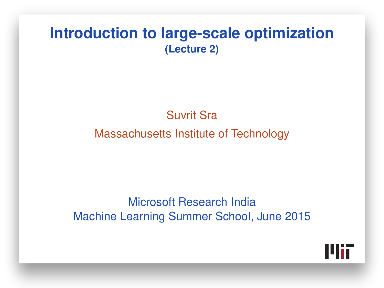#### **Introduction to large-scale optimization (Lecture 2)**

#### Suvrit Sra

#### Massachusetts Institute of Technology

#### Microsoft Research India Machine Learning Summer School, June 2015

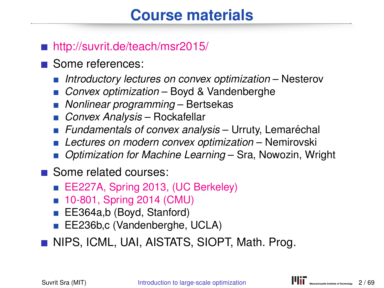## **Course materials**

#### ■ <http://suvrit.de/teach/msr2015/>

- Some references:
	- *Introductory lectures on convex optimization* Nesterov
	- *Convex optimization* Boyd & Vandenberghe
	- *Nonlinear programming* Bertsekas
	- *Convex Analysis* Rockafellar
	- **Fundamentals of convex analysis** Urruty, Lemaréchal
	- *Lectures on modern convex optimization* Nemirovski
	- *Optimization for Machine Learning* Sra, Nowozin, Wright
- Some related courses:
	- [EE227A, Spring 2013, \(UC Berkeley\)](http://suvrit.de/teach/ee227a/)
	- [10-801, Spring 2014 \(CMU\)](http://www.cs.cmu.edu/~suvrit/teach/aopt.html)
	- EE364a,b (Boyd, Stanford)
	- EE236b,c (Vandenberghe, UCLA)

**NIPS, ICML, UAI, AISTATS, SIOPT, Math. Prog.**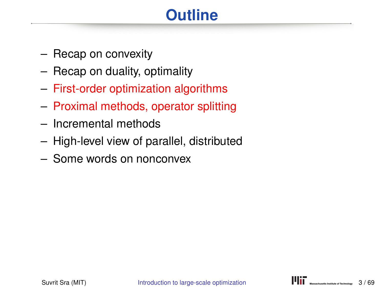## **Outline**

- Recap on convexity
- Recap on duality, optimality
- First-order optimization algorithms
- Proximal methods, operator splitting
- Incremental methods
- High-level view of parallel, distributed
- Some words on nonconvex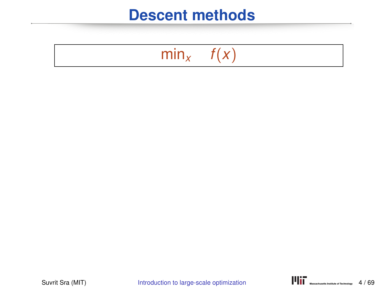## $\overline{\min}_{x}$  *f(x)*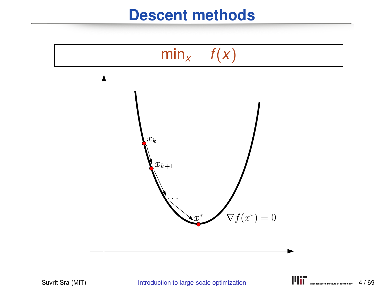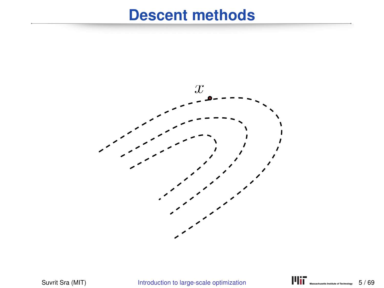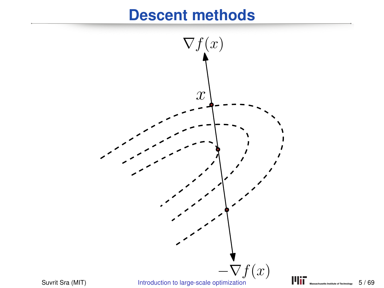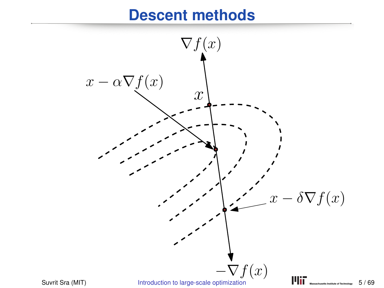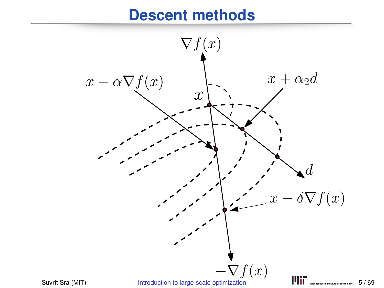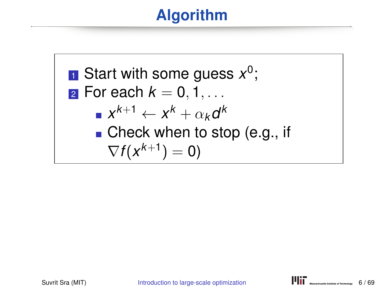## **Algorithm**

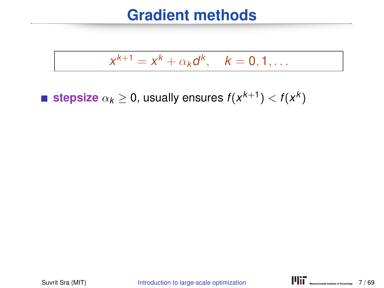$$
x^{k+1} = x^k + \alpha_k d^k, \quad k = 0, 1, \ldots
$$

**stepsize**  $\alpha_k \geq 0$ , usually ensures  $f(x^{k+1}) < f(x^k)$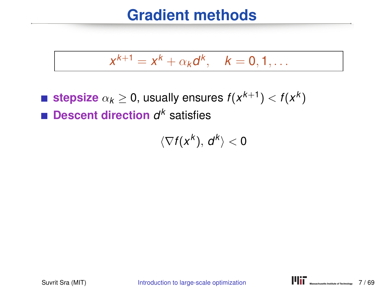$$
x^{k+1} = x^k + \alpha_k d^k, \quad k = 0, 1, \ldots
$$

**stepsize**  $\alpha_k \geq 0$ , usually ensures  $f(x^{k+1}) < f(x^k)$ **Descent direction** *d <sup>k</sup>* satisfies

 $\langle \nabla f(x^k), d^k \rangle < 0$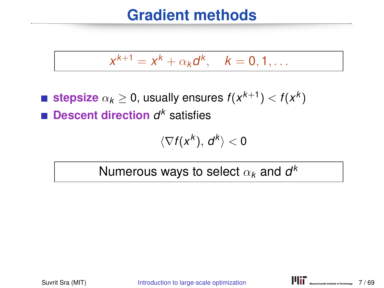$$
x^{k+1}=x^k+\alpha_k d^k, \quad k=0,1,\ldots
$$

**stepsize**  $\alpha_k \geq 0$ , usually ensures  $f(x^{k+1}) < f(x^k)$ **Descent direction** *d <sup>k</sup>* satisfies

$$
\langle \nabla f(x^k),\,d^k\rangle<0
$$

Numerous ways to select  $\alpha_{\pmb{k}}$  and  $\pmb{d}^{\pmb{k}}$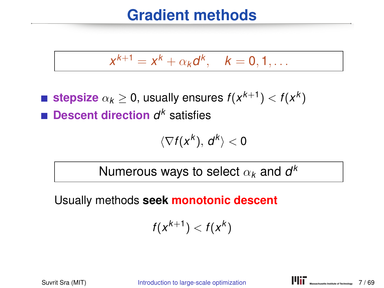$$
x^{k+1}=x^k+\alpha_k d^k, \quad k=0,1,\ldots
$$

**stepsize**  $\alpha_k \geq 0$ , usually ensures  $f(x^{k+1}) < f(x^k)$ **Descent direction** *d <sup>k</sup>* satisfies

$$
\langle \nabla f(x^k),\,d^k\rangle<0
$$

Numerous ways to select  $\alpha_{\pmb{k}}$  and  $\pmb{d}^{\pmb{k}}$ 

Usually methods **seek monotonic descent**

$$
f(x^{k+1}) < f(x^k)
$$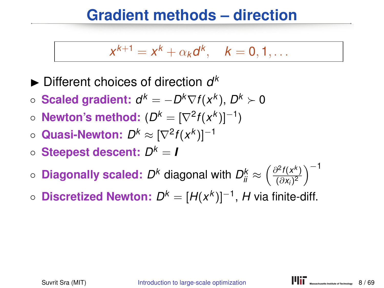#### **Gradient methods – direction**

$$
x^{k+1}=x^k+\alpha_k d^k, \quad k=0,1,\ldots
$$

 $\blacktriangleright$  Different choices of direction  $d^k$ 

- **Scaled gradient:**  $d^k = -D^k \nabla f(x^k)$ ,  $D^k ≻ 0$
- **Newton's method:**  $(D^k = [\nabla^2 f(x^k)]^{-1})$
- Quasi-Newton:  $D^k ≈ [\nabla^2 f(x^k)]^{-1}$
- **Steepest descent:** *D <sup>k</sup>* = *I*
- $\circ$  Diagonally scaled:  $D^k$  diagonal with  $D^k_{ii} \approx \left(\frac{\partial^2 f(x^k)}{(\partial x_i)^2}\right)$  $\frac{\partial^2 f(x^k)}{(\partial x_i)^2}$ )<sup>-1</sup>
- **Discretized Newton:**  $D^k = [H(x^k)]^{-1}$ , H via finite-diff.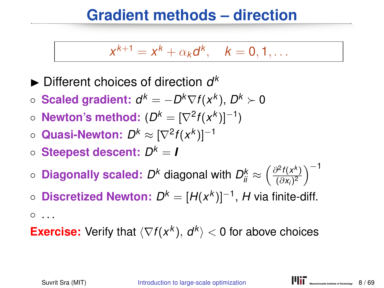#### **Gradient methods – direction**

$$
x^{k+1}=x^k+\alpha_k d^k, \quad k=0,1,\ldots
$$

 $\blacktriangleright$  Different choices of direction  $d^k$ 

- **Scaled gradient:**  $d^k = -D^k \nabla f(x^k)$ ,  $D^k ≻ 0$
- **Newton's method:**  $(D^k = [\nabla^2 f(x^k)]^{-1})$
- Quasi-Newton:  $D^k ≈ [\nabla^2 f(x^k)]^{-1}$
- **Steepest descent:** *D <sup>k</sup>* = *I*
- $\circ$  Diagonally scaled:  $D^k$  diagonal with  $D^k_{ii} \approx \left(\frac{\partial^2 f(x^k)}{(\partial x_i)^2}\right)$  $\frac{\partial^2 f(x^k)}{(\partial x_i)^2}$ )<sup>-1</sup>
- **Discretized Newton:**  $D^k = [H(x^k)]^{-1}$ , H via finite-diff.  $^{\circ}$  ...

**Exercise:** Verify that  $\langle \nabla f(x^k), d^k \rangle < 0$  for above choices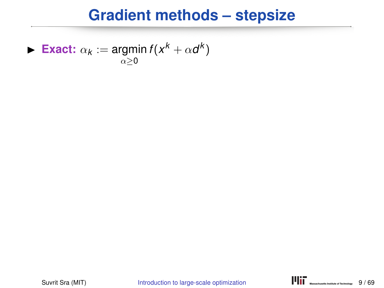#### **Gradient methods – stepsize**

**Fxact:**  $\alpha_k := \text{argmin } f(x^k + \alpha d^k)$  $\alpha > 0$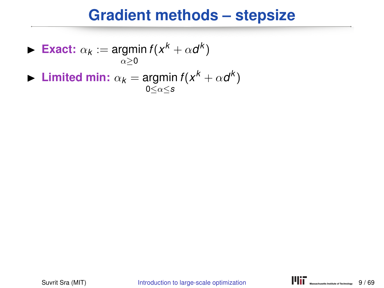#### **Gradient methods – stepsize**

**Exact:** 
$$
\alpha_k := \operatorname*{argmin}_{\alpha \geq 0} f(x^k + \alpha d^k)
$$

**I** Limited min:  $\alpha_k = \text{argmin } f(x^k + \alpha d^k)$ 0≤α≤*s*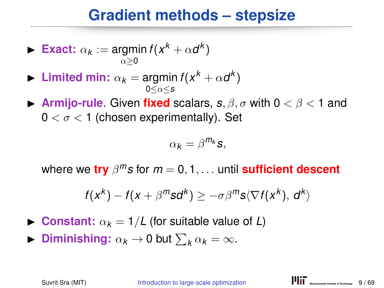#### **Gradient methods – stepsize**

**Exact:** 
$$
\alpha_k := \operatorname*{argmin}_{\alpha \geq 0} f(x^k + \alpha d^k)
$$

- **I** Limited min:  $\alpha_k = \text{argmin } f(x^k + \alpha d^k)$ 0≤α≤*s*
- **Armijo-rule.** Given **fixed** scalars,  $s, \beta, \sigma$  with  $0 < \beta < 1$  and  $0 < \sigma < 1$  (chosen experimentally). Set

$$
\alpha_k = \beta^{m_k} s,
$$

where we **try** β *<sup>m</sup>s* for *m* = 0, 1, . . . until **sufficient descent**

$$
f(x^k) - f(x + \beta^m s d^k) \ge -\sigma \beta^m s \langle \nabla f(x^k), d^k \rangle
$$

- **I** Constant:  $\alpha_k = 1/L$  (for suitable value of L)
- **Diminishing:**  $\alpha_k \to 0$  but  $\sum_k \alpha_k = \infty$ .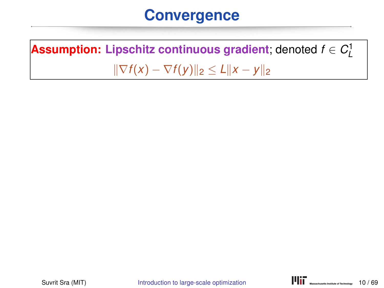#### **Convergence**

**Assumption: Lipschitz continuous gradient**; denoted  $f \in C^1_L$  $\|\nabla f(x) - \nabla f(y)\|_2 \le L \|x - y\|_2$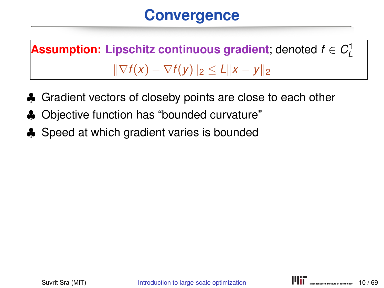## **Convergence**

**Assumption: Lipschitz continuous gradient**; denoted  $f \in C^1_L$  $\|\nabla f(x) - \nabla f(y)\|_2 \le L \|x - y\|_2$ 

- ♣ Gradient vectors of closeby points are close to each other
- ♣ Objective function has "bounded curvature"
- ♣ Speed at which gradient varies is bounded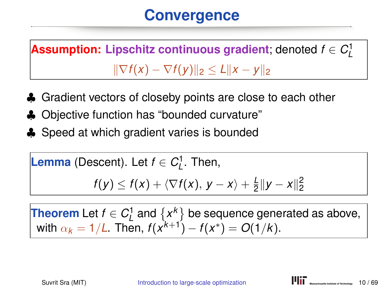## **Convergence**

**Assumption: Lipschitz continuous gradient**; denoted  $f \in C^1_L$  $\|\nabla f(x) - \nabla f(y)\|_2 \le L\|x - y\|_2$ 

- ♣ Gradient vectors of closeby points are close to each other
- ♣ Objective function has "bounded curvature"
- ♣ Speed at which gradient varies is bounded

**Lemma** (Descent). Let 
$$
f \in C_L^1
$$
. Then,

$$
f(y) \leq f(x) + \langle \nabla f(x), y - x \rangle + \frac{L}{2} ||y - x||_2^2
$$

**Theorem** Let  $f \in C^1_L$  and  $\{x^k\}$  be sequence generated as above, with  $\alpha_k = 1/L$ . Then,  $f(x^{k+1}) - f(x^*) = O(1/k)$ .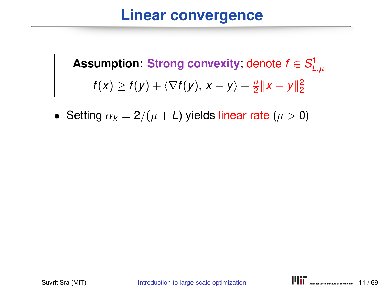#### **Linear convergence**

 ${\sf Assumption: \: Strong \: convexity;}$  denote  $f \in S^1_{L,\mu}$  $f(x) \ge f(y) + \langle \nabla f(y), x - y \rangle + \frac{\mu}{2}$  $\frac{\mu}{2}$ ||x − y|| $\frac{2}{2}$ 

• Setting  $\alpha_k = 2/(\mu + L)$  yields linear rate ( $\mu > 0$ )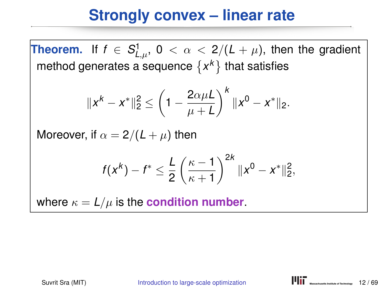### **Strongly convex – linear rate**

**Theorem.** If  $f \in S^1_{L,\mu}$ ,  $0 < \alpha < 2/(L + \mu)$ , then the gradient method generates a sequence  $\{x^k\}$  that satisfies

$$
||x^k - x^*||_2^2 \le \left(1 - \frac{2\alpha\mu L}{\mu + L}\right)^k ||x^0 - x^*||_2.
$$

Moreover, if  $\alpha = 2/(L + \mu)$  then

$$
f(x^k) - f^* \leq \frac{L}{2} \left( \frac{\kappa - 1}{\kappa + 1} \right)^{2k} \|x^0 - x^*\|_2^2,
$$

where  $\kappa = L/\mu$  is the **condition number**.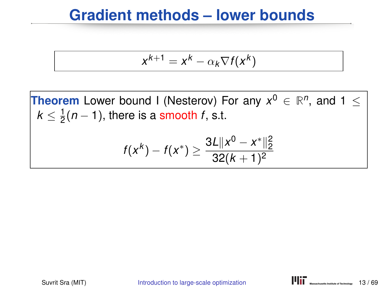#### **Gradient methods – lower bounds**

$$
x^{k+1} = x^k - \alpha_k \nabla f(x^k)
$$

**Theorem** Lower bound I (Nesterov) For any  $x^0 \in \mathbb{R}^n$ , and  $1 \leq$  $k \leq \frac{1}{2}$  $\frac{1}{2}(n-1)$ , there is a smooth *f*, s.t.  $f(x^k) - f(x^*) \geq \frac{3L||x^0 - x^*||_2^2}{32(k+1)^2}$  $32(k+1)^2$ 

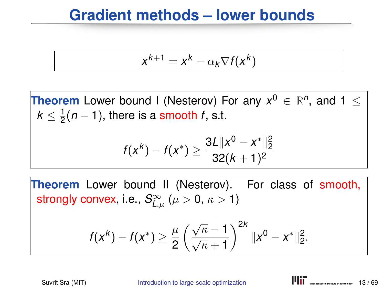#### **Gradient methods – lower bounds**

$$
x^{k+1} = x^k - \alpha_k \nabla f(x^k)
$$

**Theorem** Lower bound I (Nesterov) For any  $x^0 \in \mathbb{R}^n$ , and  $1 \leq$  $k \leq \frac{1}{2}$  $\frac{1}{2}(n-1)$ , there is a smooth *f*, s.t.

$$
f(x^k) - f(x^*) \ge \frac{3L||x^0 - x^*||_2^2}{32(k+1)^2}
$$

**Theorem** Lower bound II (Nesterov). For class of smooth, strongly convex, i.e.,  $\mathcal{S}^{\infty}_{L,\mu}$   $(\mu > 0,\,\kappa > 1)$ 

$$
f(x^{k}) - f(x^{*}) \geq \frac{\mu}{2} \left( \frac{\sqrt{\kappa} - 1}{\sqrt{\kappa} + 1} \right)^{2k} \|x^{0} - x^{*}\|_{2}^{2}.
$$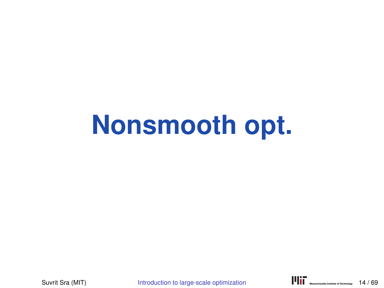# **Nonsmooth opt.**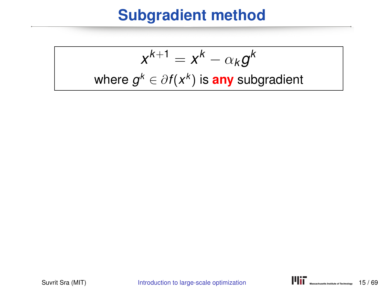### **Subgradient method**

$$
x^{k+1} = x^k - \alpha_k g^k
$$
  
where  $g^k \in \partial f(x^k)$  is **any** subgradient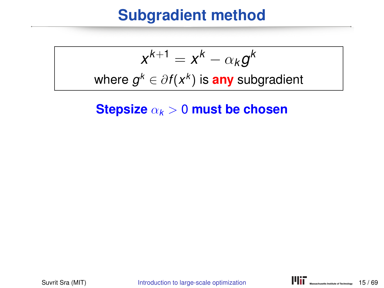#### **Subgradient method**

$$
x^{k+1} = x^k - \alpha_k g^k
$$

where  $g^k \in \partial f(x^k)$  is <mark>any</mark> subgradient

**Stepsize** α*<sup>k</sup>* > 0 **must be chosen**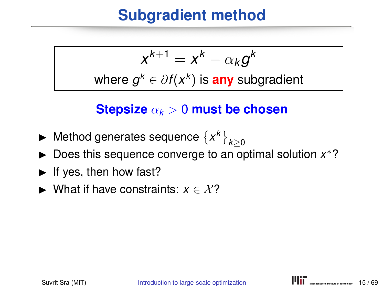### **Subgradient method**

$$
x^{k+1} = x^k - \alpha_k g^k
$$

where  $g^k \in \partial f(x^k)$  is <mark>any</mark> subgradient

#### **Stepsize** α*<sup>k</sup>* > 0 **must be chosen**

- ► Method generates sequence  $\{x^k\}_{k\geq 0}$
- ► Does this sequence converge to an optimal solution x<sup>\*</sup>?
- $\blacktriangleright$  If yes, then how fast?
- $\triangleright$  What if have constraints:  $x \in \mathcal{X}$ ?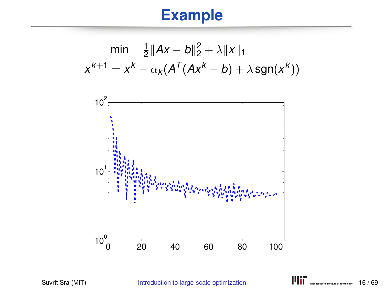## **Example**



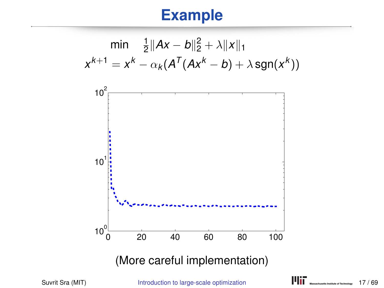## **Example**



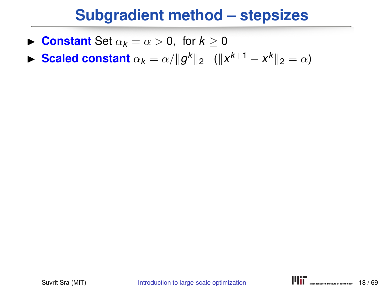#### **Subgradient method – stepsizes**

- **Constant** Set  $\alpha_k = \alpha > 0$ , for  $k \geq 0$
- **► Scaled constant**  $\alpha_k = \alpha / ||g^k||_2$  ( $||x^{k+1} x^k||_2 = \alpha$ )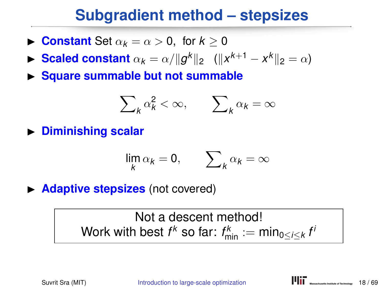### **Subgradient method – stepsizes**

- **Constant** Set  $\alpha_k = \alpha > 0$ , for  $k \geq 0$
- **► Scaled constant**  $\alpha_k = \alpha / ||g^k||_2$  ( $||x^{k+1} x^k||_2 = \alpha$ )
- **In Square summable but not summable**

$$
\sum\nolimits_k \alpha_k^2 < \infty, \qquad \sum\nolimits_k \alpha_k = \infty
$$

**Indusfing Scalar** 

$$
\lim_k \alpha_k = 0, \qquad \sum_k \alpha_k = \infty
$$

**Adaptive stepsizes** (not covered)

Not a descent method!  $W$ ork with best  $f^k$  so far:  $f^k_{\min} := \min_{0 \le i \le k} f^k$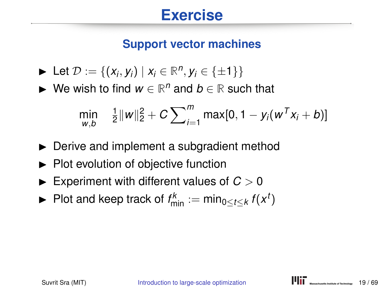#### **Exercise**

#### **Support vector machines**

$$
\blacktriangleright \ \mathsf{Let} \ \mathcal{D} := \{ (x_i, y_i) \mid x_i \in \mathbb{R}^n, y_i \in \{\pm 1\} \}
$$

► We wish to find  $w \in \mathbb{R}^n$  and  $b \in \mathbb{R}$  such that

$$
\min_{w,b} \quad \frac{1}{2} ||w||_2^2 + C \sum_{i=1}^m \max[0, 1 - y_i(w^T x_i + b)]
$$

- $\blacktriangleright$  Derive and implement a subgradient method
- $\blacktriangleright$  Plot evolution of objective function
- $\blacktriangleright$  Experiment with different values of  $C > 0$
- ▶ Plot and keep track of  $f_{\text{min}}^k := \min_{0 \le t \le k} f(x^t)$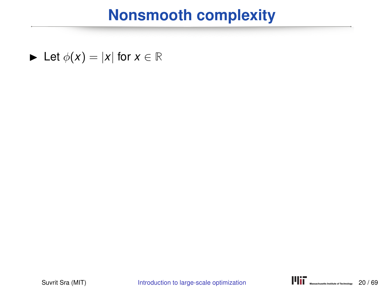#### **Nonsmooth complexity**

$$
\blacktriangleright \ \text{Let } \phi(x) = |x| \text{ for } x \in \mathbb{R}
$$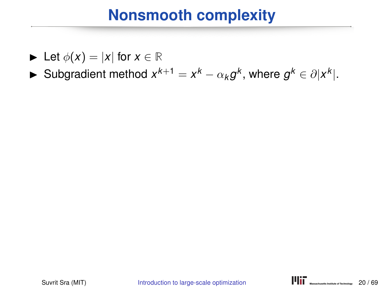- $\blacktriangleright$  Let  $\phi(x) = |x|$  for  $x \in \mathbb{R}$
- ► Subgradient method  $x^{k+1} = x^k \alpha_k g^k$ , where  $g^k \in \partial |x^k|$ .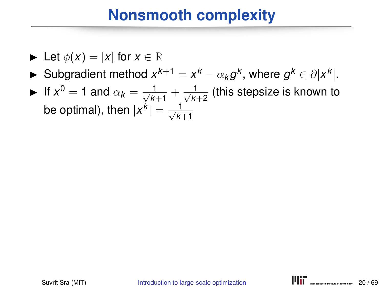$$
\blacktriangleright \ \text{Let } \phi(x) = |x| \text{ for } x \in \mathbb{R}
$$

- ► Subgradient method  $x^{k+1} = x^k \alpha_k g^k$ , where  $g^k \in \partial |x^k|$ .
- If  $x^0 = 1$  and  $\alpha_k = \frac{1}{\sqrt{k}}$  $\frac{1}{k+1} + \frac{1}{\sqrt{k}}$  $\frac{1}{k+2}$  (this stepsize is known to be optimal), then  $|x^k| = \frac{1}{\sqrt{k}}$ *k*+1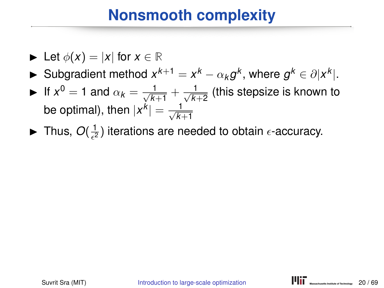- $\blacktriangleright$  Let  $\phi(x) = |x|$  for  $x \in \mathbb{R}$
- ► Subgradient method  $x^{k+1} = x^k \alpha_k g^k$ , where  $g^k \in \partial |x^k|$ .
- If  $x^0 = 1$  and  $\alpha_k = \frac{1}{\sqrt{k}}$  $\frac{1}{k+1} + \frac{1}{\sqrt{k}}$  $\frac{1}{k+2}$  (this stepsize is known to be optimal), then  $|x^k| = \frac{1}{\sqrt{k}}$ *k*+1
- $\blacktriangleright$  Thus,  $O(\frac{1}{\epsilon^2})$  $\frac{1}{\epsilon^2}$ ) iterations are needed to obtain  $\epsilon$ -accuracy.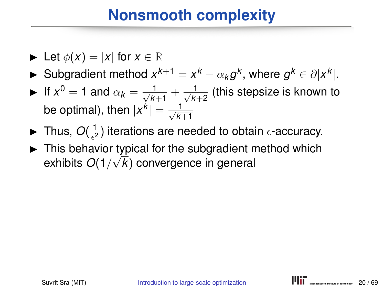- $\blacktriangleright$  Let  $\phi(x) = |x|$  for  $x \in \mathbb{R}$
- ► Subgradient method  $x^{k+1} = x^k \alpha_k g^k$ , where  $g^k \in \partial |x^k|$ .
- If  $x^0 = 1$  and  $\alpha_k = \frac{1}{\sqrt{k}}$  $\frac{1}{k+1} + \frac{1}{\sqrt{k}}$  $\frac{1}{k+2}$  (this stepsize is known to be optimal), then  $|x^k| = \frac{1}{\sqrt{k}}$ *k*+1
- $\blacktriangleright$  Thus,  $O(\frac{1}{\epsilon^2})$  $\frac{1}{\epsilon^2}$ ) iterations are needed to obtain  $\epsilon$ -accuracy.
- $\blacktriangleright$  This behavior typical for the subgradient method which exhibits *O*(1/ √ *k*) convergence in general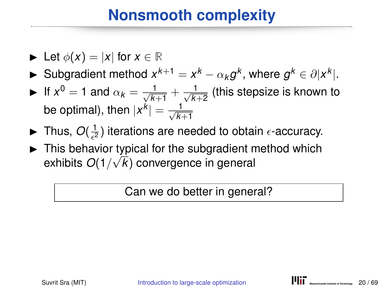- $\blacktriangleright$  Let  $\phi(x) = |x|$  for  $x \in \mathbb{R}$
- ► Subgradient method  $x^{k+1} = x^k \alpha_k g^k$ , where  $g^k \in \partial |x^k|$ .
- If  $x^0 = 1$  and  $\alpha_k = \frac{1}{\sqrt{k}}$  $\frac{1}{k+1} + \frac{1}{\sqrt{k}}$  $\frac{1}{k+2}$  (this stepsize is known to be optimal), then  $|x^k| = \frac{1}{\sqrt{k}}$ *k*+1
- $\blacktriangleright$  Thus,  $O(\frac{1}{\epsilon^2})$  $\frac{1}{\epsilon^2}$ ) iterations are needed to obtain  $\epsilon$ -accuracy.
- $\blacktriangleright$  This behavior typical for the subgradient method which exhibits *O*(1/ √ *k*) convergence in general

Can we do better in general?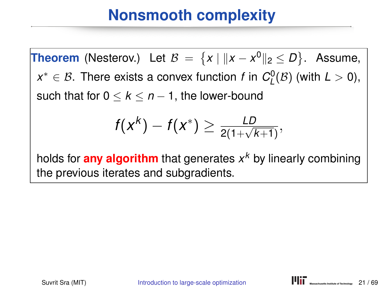**Theorem** (Nesterov.) Let  $B = \{x \mid ||x - x^0||_2 \le D\}$ . Assume,  $x^* \in \mathcal{B}$ . There exists a convex function *f* in  $C_{L}^{0}(\mathcal{B})$  (with  $L > 0$ ), such that for  $0 \leq k \leq n-1$ , the lower-bound

$$
f(x^k) - f(x^*) \geq \frac{LD}{2(1+\sqrt{k+1})},
$$

holds for **any algorithm** that generates *x <sup>k</sup>* by linearly combining the previous iterates and subgradients.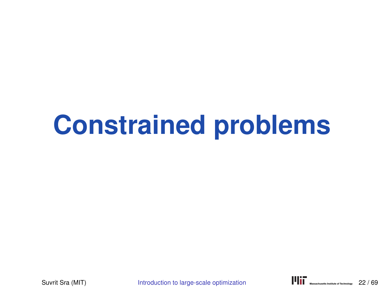# **Constrained problems**

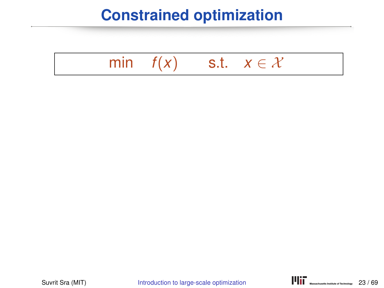### **Constrained optimization**

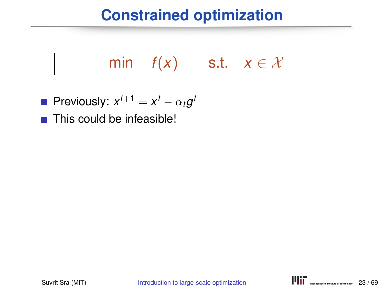### **Constrained optimization**

## min  $f(x)$  s.t.  $x \in \mathcal{X}$

- Previously:  $x^{t+1} = x^t \alpha_t g^t$
- $\blacksquare$  This could be infeasible!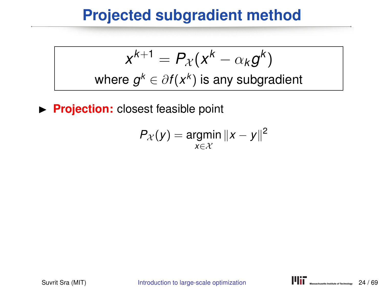### **Projected subgradient method**

$$
x^{k+1} = P_{\mathcal{X}}(x^k - \alpha_k g^k)
$$
  
where  $g^k \in \partial f(x^k)$  is any subgradient

**Projection:** closest feasible point

$$
P_{\mathcal{X}}(y) = \underset{x \in \mathcal{X}}{\operatorname{argmin}} \|x - y\|^2
$$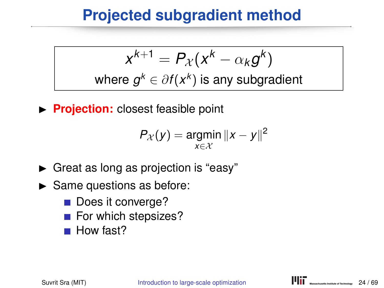### **Projected subgradient method**

$$
x^{k+1} = P_{\mathcal{X}}(x^k - \alpha_k g^k)
$$
  
where  $g^k \in \partial f(x^k)$  is any subgradient

**Projection:** closest feasible point

$$
P_{\mathcal{X}}(y) = \underset{x \in \mathcal{X}}{\operatorname{argmin}} \|x - y\|^2
$$

- $\blacktriangleright$  Great as long as projection is "easy"
- $\blacktriangleright$  Same questions as before:
	- Does it converge?
	- For which stepsizes?
	- How fast?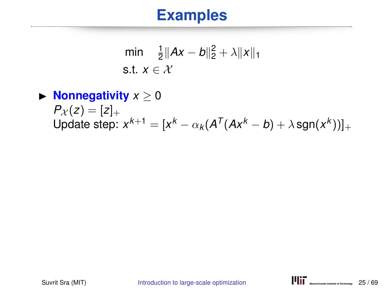$$
\begin{array}{ll}\n\min & \frac{1}{2} \|Ax - b\|_2^2 + \lambda \|x\|_1 \\
\text{s.t. } x \in \mathcal{X}\n\end{array}
$$

### $\blacktriangleright$  **Nonnegativity**  $x \geq 0$  $P_X(z) = [z]_+$ Update step:  $x^{k+1} = [x^k - \alpha_k(A^T(Ax^k - b) + \lambda \text{sgn}(x^k))]_+$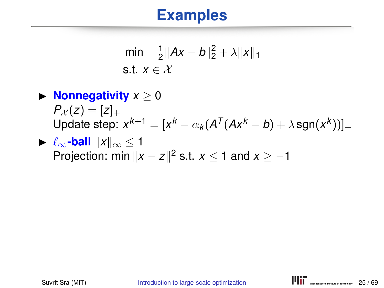$$
\begin{array}{ll}\n\min & \frac{1}{2} \|Ax - b\|_2^2 + \lambda \|x\|_1 \\
\text{s.t. } x \in \mathcal{X}\n\end{array}
$$

- $\blacktriangleright$  **Nonnegativity**  $x > 0$  $P_X(z) = [z]_+$ Update step:  $x^{k+1} = [x^k - \alpha_k(A^T(Ax^k - b) + \lambda \text{sgn}(x^k))]_+$
- $\blacktriangleright \ell_{\infty}$ -ball  $||x||_{\infty} < 1$ Projection: min  $||x - z||^2$  s.t.  $x \le 1$  and  $x \ge -1$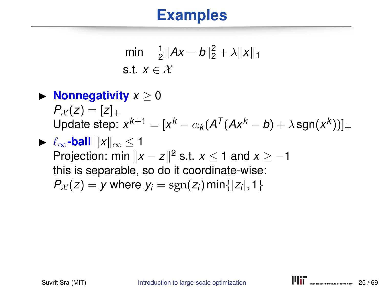$$
\begin{array}{ll}\n\min & \frac{1}{2} \|Ax - b\|_2^2 + \lambda \|x\|_1 \\
\text{s.t. } x \in \mathcal{X}\n\end{array}
$$

### $\blacktriangleright$  **Nonnegativity**  $x > 0$  $P_{\chi}(z) = [z]_{+}$ Update step:  $x^{k+1} = [x^k - \alpha_k(A^T(Ax^k - b) + \lambda \text{sgn}(x^k))]_+$  $\blacktriangleright$   $\ell_{\infty}$ -ball  $||x||_{\infty}$  < 1

Projection: min  $||x - z||^2$  s.t.  $x \le 1$  and  $x \ge -1$ this is separable, so do it coordinate-wise:  $P_{\mathcal{X}}(z) = y$  where  $y_i = \text{sgn}(z_i)$  min $\{|z_i|, 1\}$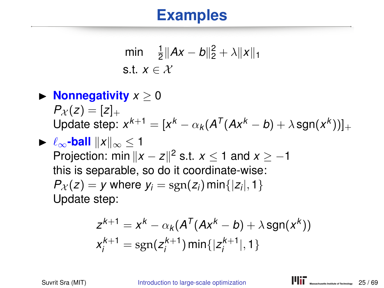$$
\begin{array}{ll}\n\min & \frac{1}{2} \|Ax - b\|_2^2 + \lambda \|x\|_1 \\
\text{s.t. } x \in \mathcal{X}\n\end{array}
$$

#### $\blacktriangleright$  **Nonnegativity**  $x > 0$  $P_{\chi}(z) = [z]_{+}$ Update step:  $x^{k+1} = [x^k - \alpha_k(A^T(Ax^k - b) + \lambda \text{sgn}(x^k))]_+$  $\blacktriangleright$   $\ell_{\infty}$ -ball  $||x||_{\infty} < 1$

Projection: min  $||x - z||^2$  s.t.  $x \le 1$  and  $x \ge -1$ this is separable, so do it coordinate-wise:  $P_{\mathcal{X}}(z) = y$  where  $y_i = \text{sgn}(z_i)$  min $\{|z_i|, 1\}$ Update step:

$$
z^{k+1} = x^{k} - \alpha_{k}(A^{T}(Ax^{k} - b) + \lambda \text{sgn}(x^{k}))
$$
  

$$
x_{i}^{k+1} = \text{sgn}(z_{i}^{k+1}) \min\{|z_{i}^{k+1}|, 1\}
$$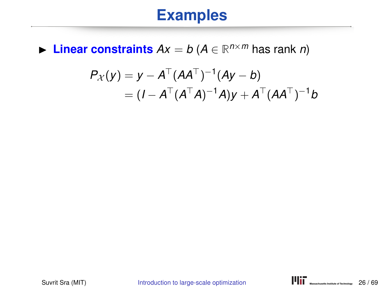▶ Linear constraints  $Ax = b$  ( $A \in \mathbb{R}^{n \times m}$  has rank *n*)

$$
P_{\mathcal{X}}(y) = y - A^{\top} (A A^{\top})^{-1} (Ay - b)
$$
  
=  $(I - A^{\top} (A^{\top} A)^{-1} A)y + A^{\top} (A A^{\top})^{-1} b$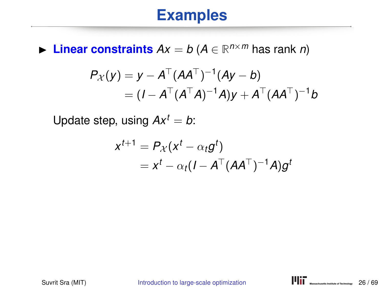▶ Linear constraints  $Ax = b$  ( $A \in \mathbb{R}^{n \times m}$  has rank *n*)

$$
P_{\mathcal{X}}(y) = y - A^{\top} (A A^{\top})^{-1} (Ay - b)
$$
  
=  $(I - A^{\top} (A^{\top} A)^{-1} A)y + A^{\top} (A A^{\top})^{-1} b$ 

Update step, using  $Ax^t = b$ :

$$
x^{t+1} = P_{\mathcal{X}}(x^t - \alpha_t g^t)
$$
  
=  $x^t - \alpha_t (I - A^{\top} (AA^{\top})^{-1} A) g^t$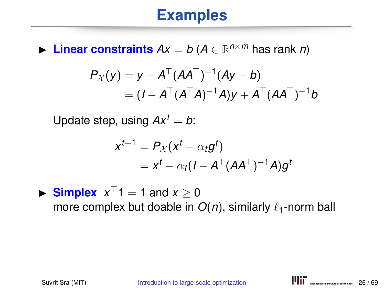▶ Linear constraints  $Ax = b$  ( $A \in \mathbb{R}^{n \times m}$  has rank *n*)

$$
P_{\mathcal{X}}(y) = y - A^{\top} (A A^{\top})^{-1} (Ay - b)
$$
  
=  $(I - A^{\top} (A^{\top} A)^{-1} A)y + A^{\top} (A A^{\top})^{-1} b$ 

Update step, using  $Ax^t = b$ :

$$
x^{t+1} = P_{\mathcal{X}}(x^t - \alpha_t g^t)
$$
  
=  $x^t - \alpha_t (I - A^{\top} (AA^{\top})^{-1} A) g^t$ 

Simplex  $x^{\top}1 = 1$  and  $x \ge 0$ more complex but doable in  $O(n)$ , similarly  $\ell_1$ -norm ball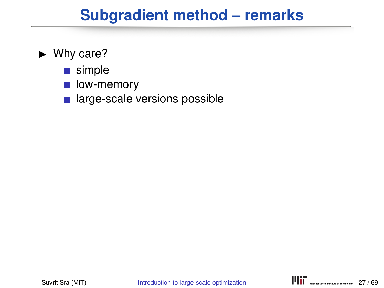#### $\blacktriangleright$  Why care?

- simple
- low-memory  $\mathcal{L}^{\mathcal{L}}$
- large-scale versions possible  $\mathcal{L}_{\mathcal{A}}$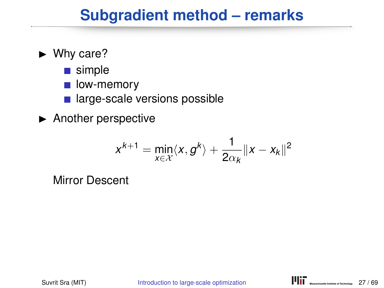#### $\blacktriangleright$  Why care?

- simple
- low-memory  $\mathcal{L}_{\mathcal{A}}$
- large-scale versions possible
- $\blacktriangleright$  Another perspective

$$
x^{k+1} = \min_{x \in \mathcal{X}} \langle x, g^k \rangle + \frac{1}{2\alpha_k} ||x - x_k||^2
$$

Mirror Descent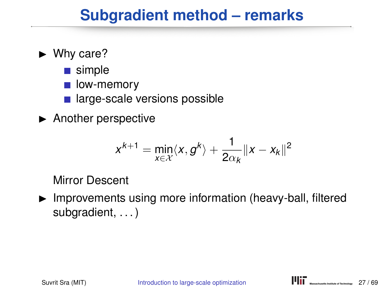#### $\blacktriangleright$  Why care?

- simple
- low-memory
- large-scale versions possible  $\mathcal{L}^{\mathcal{L}}$
- $\blacktriangleright$  Another perspective

$$
x^{k+1} = \min_{x \in \mathcal{X}} \langle x, g^k \rangle + \frac{1}{2\alpha_k} ||x - x_k||^2
$$

Mirror Descent

 $\blacktriangleright$  Improvements using more information (heavy-ball, filtered subgradient, ...)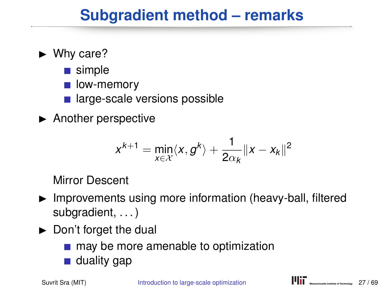#### $\blacktriangleright$  Why care?

- simple
- low-memory
- large-scale versions possible
- $\blacktriangleright$  Another perspective

$$
x^{k+1} = \min_{x \in \mathcal{X}} \langle x, g^k \rangle + \frac{1}{2\alpha_k} ||x - x_k||^2
$$

Mirror Descent

- $\blacktriangleright$  Improvements using more information (heavy-ball, filtered subgradient, . . . )
- $\blacktriangleright$  Don't forget the dual
	- may be more amenable to optimization
	- duality gap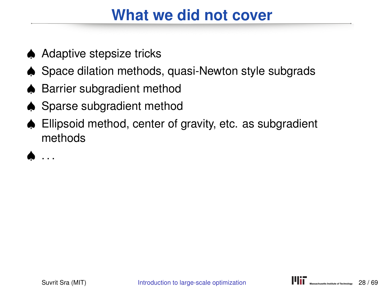### **What we did not cover**

- ♠ Adaptive stepsize tricks
- ♠ Space dilation methods, quasi-Newton style subgrads
- ♠ Barrier subgradient method
- ♠ Sparse subgradient method
- ♠ Ellipsoid method, center of gravity, etc. as subgradient methods

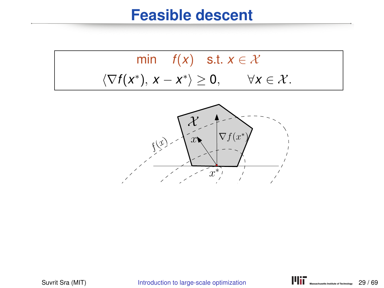$$
\min f(x) \quad \text{s.t. } x \in \mathcal{X}
$$

$$
\langle \nabla f(x^*), x - x^* \rangle \ge 0, \qquad \forall x \in \mathcal{X}.
$$

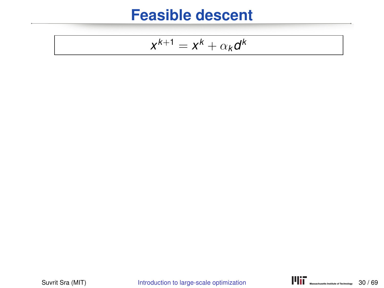$$
x^{k+1} = x^k + \alpha_k d^k
$$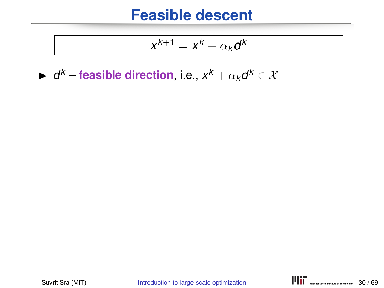$$
x^{k+1} = x^k + \alpha_k d^k
$$

►  $d^k$  – feasible direction, i.e.,  $x^k + \alpha_k d^k \in \mathcal{X}$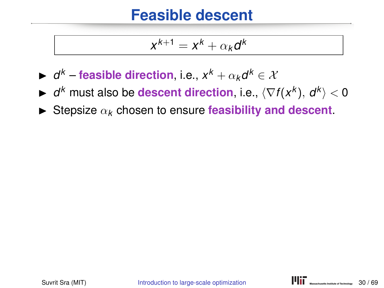$$
x^{k+1} = x^k + \alpha_k d^k
$$

- ►  $d^k$  feasible direction, i.e.,  $x^k + \alpha_k d^k \in \mathcal{X}$
- ▶ *d<sup>k</sup>* must also be **descent direction**, i.e.,  $\langle \nabla f(x^k), d^k \rangle < 0$
- $\triangleright$  Stepsize  $\alpha_k$  chosen to ensure **feasibility and descent**.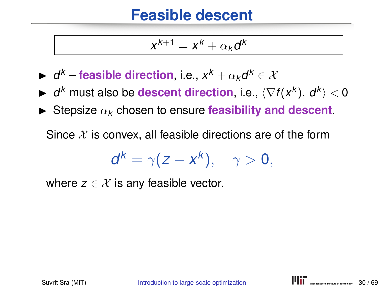$$
x^{k+1} = x^k + \alpha_k d^k
$$

- ►  $d^k$  feasible direction, i.e.,  $x^k + \alpha_k d^k \in \mathcal{X}$
- ▶ *d<sup>k</sup>* must also be **descent direction**, i.e.,  $\langle \nabla f(x^k), d^k \rangle < 0$
- $\triangleright$  Stepsize  $\alpha_k$  chosen to ensure **feasibility and descent**.

Since  $\mathcal X$  is convex, all feasible directions are of the form

$$
d^k=\gamma(z-x^k),\quad \gamma>0,
$$

where  $z \in \mathcal{X}$  is any feasible vector.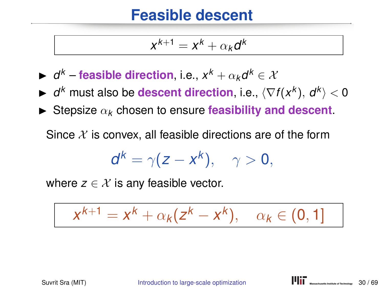$$
x^{k+1} = x^k + \alpha_k d^k
$$

- ►  $d^k$  feasible direction, i.e.,  $x^k + \alpha_k d^k \in \mathcal{X}$
- ▶ *d<sup>k</sup>* must also be **descent direction**, i.e.,  $\langle \nabla f(x^k), d^k \rangle < 0$
- $\triangleright$  Stepsize  $\alpha_k$  chosen to ensure **feasibility and descent**.

Since  $\mathcal X$  is convex, all feasible directions are of the form

$$
d^k=\gamma(z-x^k),\quad \gamma>0,
$$

where  $z \in \mathcal{X}$  is any feasible vector.

$$
x^{k+1} = x^k + \alpha_k (z^k - x^k), \quad \alpha_k \in (0, 1]
$$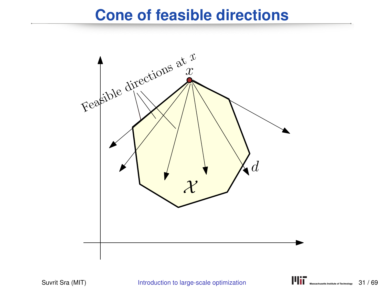### **Cone of feasible directions**

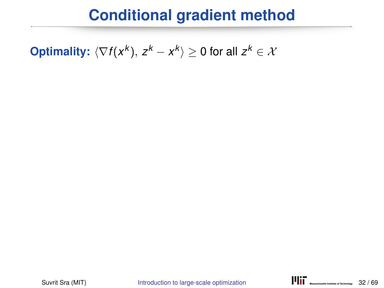**Optimality:**  $\langle \nabla f(x^k), z^k - x^k \rangle \ge 0$  for all  $z^k \in \mathcal{X}$ 

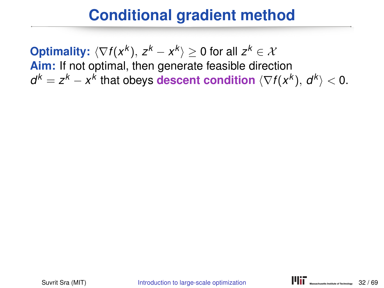**Optimality:**  $\langle \nabla f(x^k), z^k - x^k \rangle \ge 0$  for all  $z^k \in \mathcal{X}$ **Aim:** If not optimal, then generate feasible direction  $d^k = z^k - x^k$  that obeys **descent condition**  $\langle \nabla f(x^k), d^k \rangle < 0$ .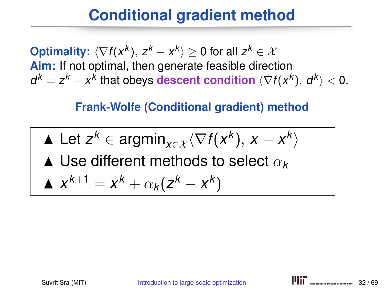**Optimality:**  $\langle \nabla f(x^k), z^k - x^k \rangle \ge 0$  for all  $z^k \in \mathcal{X}$ **Aim:** If not optimal, then generate feasible direction  $d^k = z^k - x^k$  that obeys **descent condition**  $\langle \nabla f(x^k), d^k \rangle < 0$ .

#### **Frank-Wolfe (Conditional gradient) method**

Let 
$$
z^k \in \text{argmin}_{x \in \mathcal{X}} \langle \nabla f(x^k), x - x^k \rangle
$$

 $\blacktriangle$  Use different methods to select  $\alpha_{k}$ 

$$
\Delta x^{k+1} = x^k + \alpha_k (z^k - x^k)
$$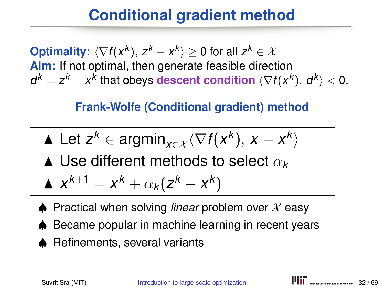**Optimality:**  $\langle \nabla f(x^k), z^k - x^k \rangle \ge 0$  for all  $z^k \in \mathcal{X}$ **Aim:** If not optimal, then generate feasible direction  $d^k = z^k - x^k$  that obeys **descent condition**  $\langle \nabla f(x^k), d^k \rangle < 0$ .

#### **Frank-Wolfe (Conditional gradient) method**

Let 
$$
z^k \in \text{argmin}_{x \in \mathcal{X}} \langle \nabla f(x^k), x - x^k \rangle
$$

 $\blacktriangle$  Use different methods to select  $\alpha_{\bm{k}}$ 

$$
\blacktriangle x^{k+1} = x^k + \alpha_k (z^k - x^k)
$$

- $\triangle$  Practical when solving *linear* problem over  $\chi$  easy
- ♠ Became popular in machine learning in recent years
- ♠ Refinements, several variants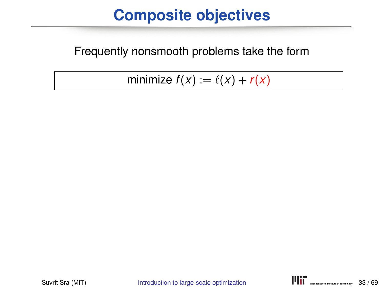### **Composite objectives**

#### Frequently nonsmooth problems take the form

minimize  $f(x) := \ell(x) + r(x)$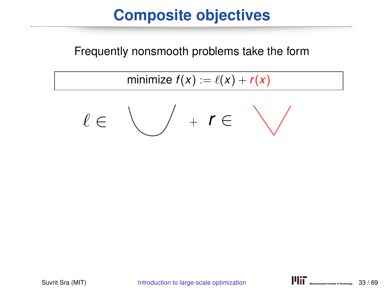### **Composite objectives**

Frequently nonsmooth problems take the form

minimize  $f(x) := \ell(x) + r(x)$ 

$$
\ell\in\text{supp}(r+1)\subset\text{supp}(r)
$$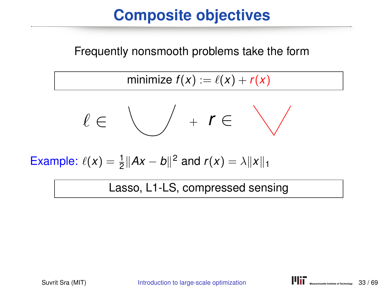# **Composite objectives**

Frequently nonsmooth problems take the form

minimize  $f(x) := \ell(x) + r(x)$ 

$$
\ell\in\text{supp}(r+1)\subset\text{supp}(r)
$$

Example:  $\ell(x) = \frac{1}{2} ||Ax - b||^2$  and  $r(x) = \lambda ||x||_1$ 

Lasso, L1-LS, compressed sensing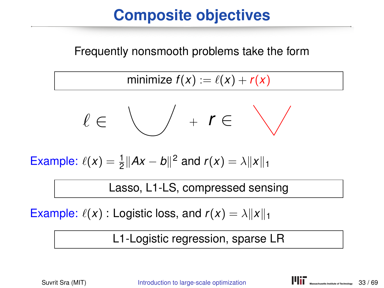# **Composite objectives**

Frequently nonsmooth problems take the form

minimize  $f(x) := \ell(x) + r(x)$ 

$$
\ell\in\text{supp}(r+1)\subset\text{supp}(r)
$$

Example:  $\ell(x) = \frac{1}{2} ||Ax - b||^2$  and  $r(x) = \lambda ||x||_1$ 

Lasso, L1-LS, compressed sensing

Example:  $\ell(x)$  : Logistic loss, and  $r(x) = \lambda ||x||_1$ 

L1-Logistic regression, sparse LR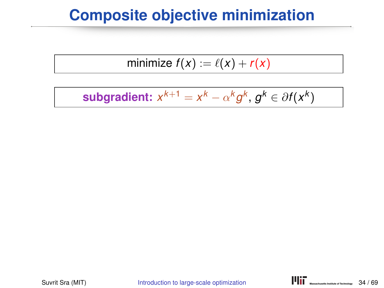## **Composite objective minimization**

$$
minimize f(x) := \ell(x) + r(x)
$$

$$
\text{subgradient: } x^{k+1} = x^k - \alpha^k g^k, g^k \in \partial f(x^k)
$$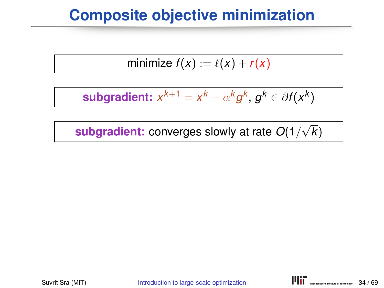## **Composite objective minimization**

$$
minimize f(x) := \ell(x) + r(x)
$$

**subgradient:**  $x^{k+1} = x^k - \alpha^k g^k$ ,  $g^k \in \partial f(x^k)$ 

**subgradient:** converges slowly at rate *O*(1/ √ *k*)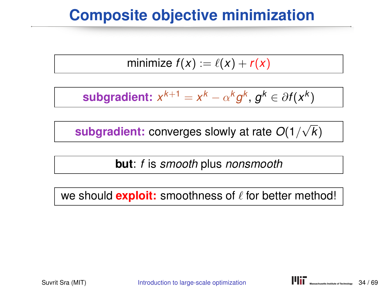## **Composite objective minimization**

$$
minimize f(x) := \ell(x) + r(x)
$$

**subgradient:**  $x^{k+1} = x^k - \alpha^k g^k$ ,  $g^k \in \partial f(x^k)$ 

**subgradient:** converges slowly at rate *O*(1/ √ *k*)

**but**: *f* is *smooth* plus *nonsmooth*

we should **exploit:** smoothness of  $\ell$  for better method!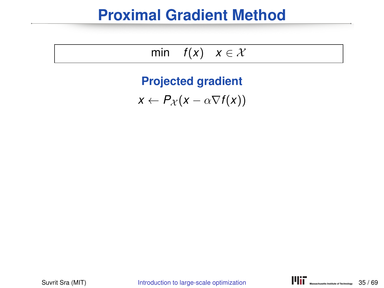## **Proximal Gradient Method**

$$
\min \quad f(x) \quad x \in \mathcal{X}
$$

**Projected gradient**

 $x \leftarrow P_{\mathcal{X}}(x - \alpha \nabla f(x))$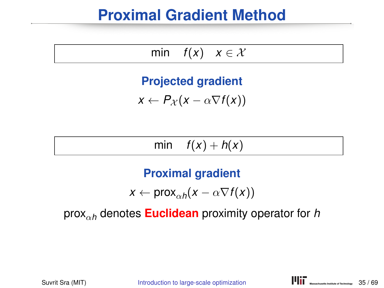## **Proximal Gradient Method**

$$
\min \quad f(x) \quad x \in \mathcal{X}
$$

#### **Projected gradient**

$$
x \leftarrow P_{\mathcal{X}}(x - \alpha \nabla f(x))
$$

#### min  $f(x) + h(x)$

#### **Proximal gradient**

$$
x \leftarrow \text{prox}_{\alpha h}(x - \alpha \nabla f(x))
$$

#### proxα*<sup>h</sup>* denotes **Euclidean** proximity operator for *h*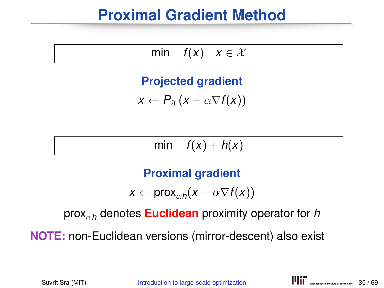## **Proximal Gradient Method**

$$
\min \quad f(x) \quad x \in \mathcal{X}
$$

#### **Projected gradient**

$$
x \leftarrow P_{\mathcal{X}}(x - \alpha \nabla f(x))
$$

min  $f(x) + h(x)$ 

#### **Proximal gradient**

$$
x \leftarrow \text{prox}_{\alpha h}(x - \alpha \nabla f(x))
$$

proxα*<sup>h</sup>* denotes **Euclidean** proximity operator for *h*

**NOTE:** non-Euclidean versions (mirror-descent) also exist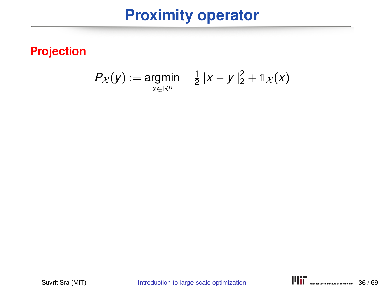## **Proximity operator**

#### **Projection**

$$
P_{\mathcal{X}}(y) := \underset{x \in \mathbb{R}^n}{\text{argmin}} \quad \frac{1}{2} \|x - y\|_2^2 + \mathbb{1}_{\mathcal{X}}(x)
$$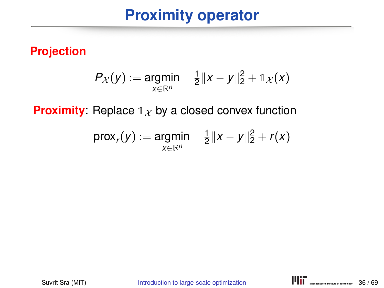## **Proximity operator**

#### **Projection**

$$
P_{\mathcal{X}}(y) := \underset{x \in \mathbb{R}^n}{\text{argmin}} \quad \frac{1}{2} \|x - y\|_2^2 + \mathbb{1}_{\mathcal{X}}(x)
$$

**Proximity:** Replace  $\mathbb{1}_X$  by a closed convex function

$$
\text{prox}_r(y) := \underset{x \in \mathbb{R}^n}{\text{argmin}} \quad \tfrac{1}{2} \|x - y\|_2^2 + r(x)
$$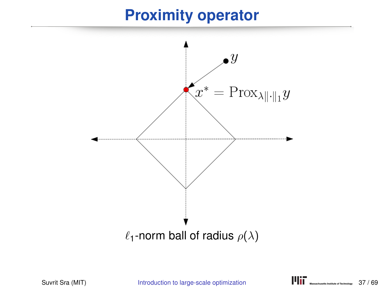## **Proximity operator**

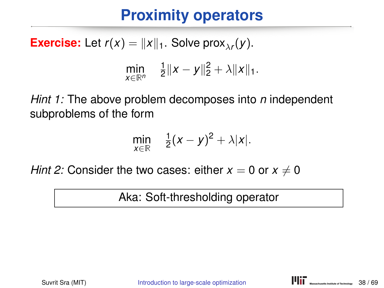# **Proximity operators**

**Exercise:** Let  $r(x) = ||x||_1$ . Solve prox<sub> $\lambda r$ </sub> $(y)$ . min *x*∈**R***<sup>n</sup>* 1  $\frac{1}{2}||x-y||_2^2 + \lambda ||x||_1.$ 

*Hint 1:* The above problem decomposes into *n* independent subproblems of the form

$$
\min_{x\in\mathbb{R}} \quad \frac{1}{2}(x-y)^2+\lambda|x|.
$$

*Hint 2:* Consider the two cases: either  $x = 0$  or  $x \neq 0$ 

Aka: Soft-thresholding operator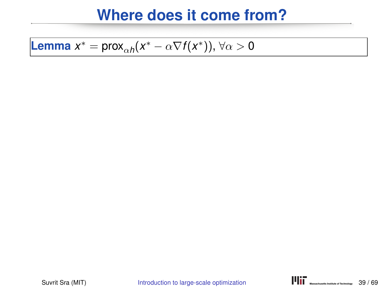**Lemma** 
$$
x^* = \text{prox}_{\alpha h}(x^* - \alpha \nabla f(x^*)), \forall \alpha > 0
$$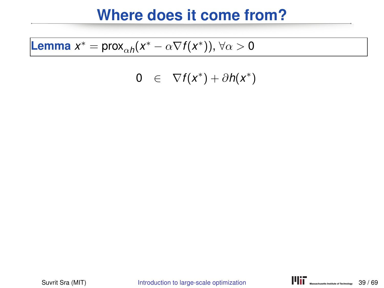**Lemma** 
$$
x^* = \text{prox}_{\alpha h}(x^* - \alpha \nabla f(x^*)), \forall \alpha > 0
$$

$$
0 \in \nabla f(x^*) + \partial h(x^*)
$$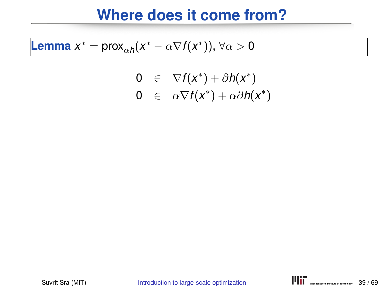**Lemma** 
$$
x^* = \text{prox}_{\alpha h}(x^* - \alpha \nabla f(x^*)), \forall \alpha > 0
$$

$$
0 \in \nabla f(x^*) + \partial h(x^*)
$$
  
\n
$$
0 \in \alpha \nabla f(x^*) + \alpha \partial h(x^*)
$$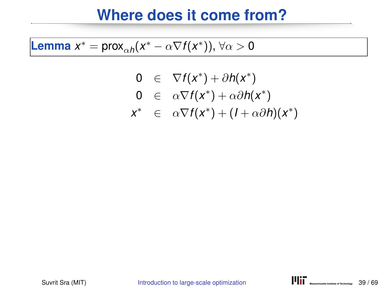**Lemma** 
$$
x^* = \text{prox}_{\alpha h}(x^* - \alpha \nabla f(x^*)), \forall \alpha > 0
$$

$$
0 \in \nabla f(x^*) + \partial h(x^*)
$$
  
\n
$$
0 \in \alpha \nabla f(x^*) + \alpha \partial h(x^*)
$$
  
\n
$$
x^* \in \alpha \nabla f(x^*) + (1 + \alpha \partial h)(x^*)
$$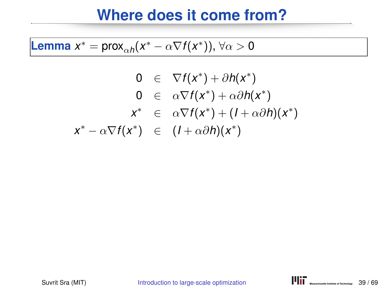**Lemma** 
$$
x^* = \text{prox}_{\alpha h}(x^* - \alpha \nabla f(x^*)), \forall \alpha > 0
$$

$$
0 \in \nabla f(x^*) + \partial h(x^*)
$$
  
\n
$$
0 \in \alpha \nabla f(x^*) + \alpha \partial h(x^*)
$$
  
\n
$$
x^* \in \alpha \nabla f(x^*) + (1 + \alpha \partial h)(x^*)
$$
  
\n
$$
x^* - \alpha \nabla f(x^*) \in (1 + \alpha \partial h)(x^*)
$$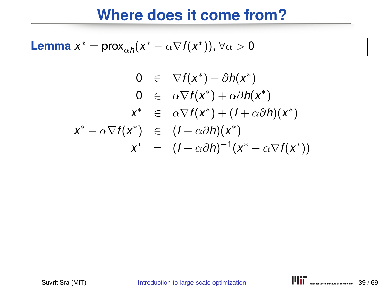**Lemma** 
$$
x^* = \text{prox}_{\alpha h}(x^* - \alpha \nabla f(x^*)), \forall \alpha > 0
$$

$$
0 \in \nabla f(x^*) + \partial h(x^*)
$$
  
\n
$$
0 \in \alpha \nabla f(x^*) + \alpha \partial h(x^*)
$$
  
\n
$$
x^* \in \alpha \nabla f(x^*) + (1 + \alpha \partial h)(x^*)
$$
  
\n
$$
x^* - \alpha \nabla f(x^*) \in (1 + \alpha \partial h)(x^*)
$$
  
\n
$$
x^* \in (1 + \alpha \partial h)^{-1}(x^* - \alpha \nabla f(x^*))
$$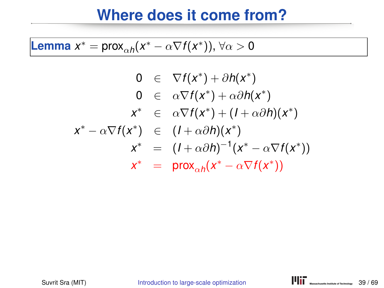**Lemma** 
$$
x^* = \text{prox}_{\alpha h}(x^* - \alpha \nabla f(x^*)), \forall \alpha > 0
$$

$$
0 \in \nabla f(x^*) + \partial h(x^*)
$$
  
\n
$$
0 \in \alpha \nabla f(x^*) + \alpha \partial h(x^*)
$$
  
\n
$$
x^* \in \alpha \nabla f(x^*) + (1 + \alpha \partial h)(x^*)
$$
  
\n
$$
x^* - \alpha \nabla f(x^*) \in (1 + \alpha \partial h)(x^*)
$$
  
\n
$$
x^* \in (1 + \alpha \partial h)^{-1}(x^* - \alpha \nabla f(x^*))
$$
  
\n
$$
x^* \in \text{prox}_{\alpha h}(x^* - \alpha \nabla f(x^*))
$$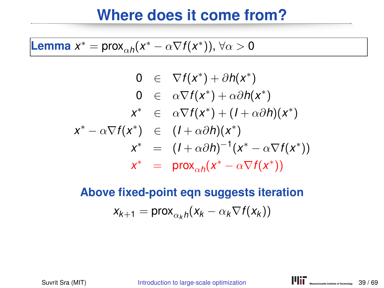**Lemma** 
$$
x^* = \text{prox}_{\alpha h}(x^* - \alpha \nabla f(x^*)), \forall \alpha > 0
$$

$$
0 \in \nabla f(x^*) + \partial h(x^*)
$$
  
\n
$$
0 \in \alpha \nabla f(x^*) + \alpha \partial h(x^*)
$$
  
\n
$$
x^* \in \alpha \nabla f(x^*) + (1 + \alpha \partial h)(x^*)
$$
  
\n
$$
x^* - \alpha \nabla f(x^*) \in (1 + \alpha \partial h)(x^*)
$$
  
\n
$$
x^* \in (1 + \alpha \partial h)^{-1}(x^* - \alpha \nabla f(x^*))
$$
  
\n
$$
x^* \in \text{prox}_{\alpha h}(x^* - \alpha \nabla f(x^*))
$$

**Above fixed-point eqn suggests iteration**  $x_{k+1} = \text{prox}_{\alpha_k h}(x_k - \alpha_k \nabla f(x_k))$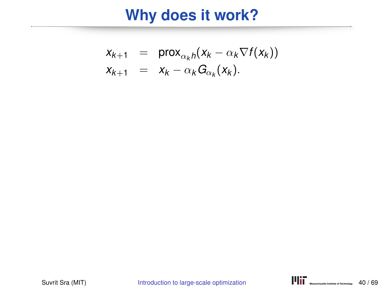# **Why does it work?**

$$
x_{k+1} = \text{prox}_{\alpha_k h}(x_k - \alpha_k \nabla f(x_k))
$$
  

$$
x_{k+1} = x_k - \alpha_k G_{\alpha_k}(x_k).
$$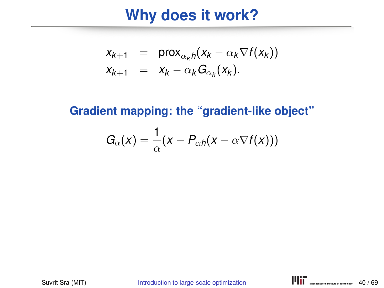### **Why does it work?**

$$
x_{k+1} = \text{prox}_{\alpha_k h}(x_k - \alpha_k \nabla f(x_k))
$$
  

$$
x_{k+1} = x_k - \alpha_k G_{\alpha_k}(x_k).
$$

**Gradient mapping: the "gradient-like object"**

$$
G_{\alpha}(x) = \frac{1}{\alpha}(x - P_{\alpha h}(x - \alpha \nabla f(x)))
$$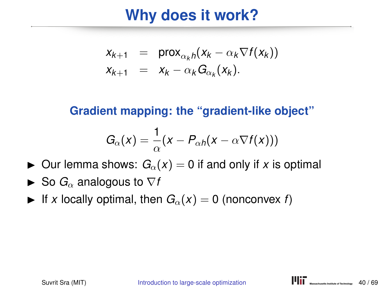## **Why does it work?**

$$
x_{k+1} = \text{prox}_{\alpha_k h}(x_k - \alpha_k \nabla f(x_k))
$$
  

$$
x_{k+1} = x_k - \alpha_k G_{\alpha_k}(x_k).
$$

**Gradient mapping: the "gradient-like object"**

$$
G_{\alpha}(x) = \frac{1}{\alpha}(x - P_{\alpha h}(x - \alpha \nabla f(x)))
$$

- $\triangleright$  Our lemma shows:  $G_{\alpha}(x) = 0$  if and only if x is optimal
- $\triangleright$  So  $G_{\alpha}$  analogous to  $\nabla f$
- If x locally optimal, then  $G_\alpha(x) = 0$  (nonconvex f)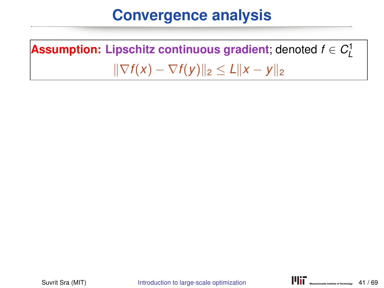**Assumption: Lipschitz continuous gradient**; denoted  $f \in C^1_L$  $\|\nabla f(x) - \nabla f(y)\|_2 \le L \|x - y\|_2$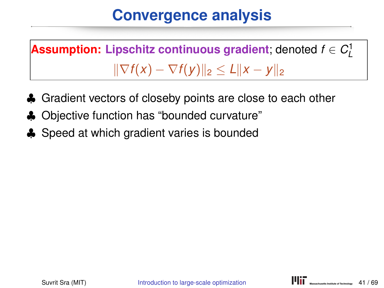**Assumption: Lipschitz continuous gradient**; denoted  $f \in C^1_L$  $\|\nabla f(x) - \nabla f(y)\|_2$  ≤  $L\|x - y\|_2$ 

- ♣ Gradient vectors of closeby points are close to each other
- ♣ Objective function has "bounded curvature"
- ♣ Speed at which gradient varies is bounded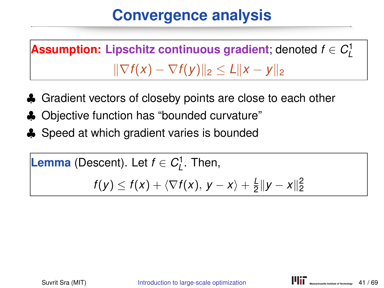**Assumption: Lipschitz continuous gradient**; denoted  $f \in C^1_L$  $\|\nabla f(x) - \nabla f(y)\|_2$  ≤  $L\|x - y\|_2$ 

- ♣ Gradient vectors of closeby points are close to each other
- ♣ Objective function has "bounded curvature"
- ♣ Speed at which gradient varies is bounded

```
Lemma (Descent). Let f \in C^1_L. Then,
       f(y) \leq f(x) + \langle \nabla f(x), y - x \rangle + \frac{L}{2}\frac{L}{2}||y - x||_2^2
```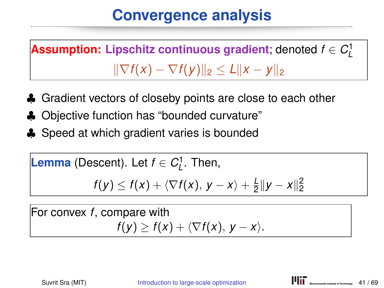**Assumption: Lipschitz continuous gradient**; denoted  $f \in C^1_L$  $\|\nabla f(x) - \nabla f(y)\|_2 \le L\|x - y\|_2$ 

- ♣ Gradient vectors of closeby points are close to each other
- ♣ Objective function has "bounded curvature"
- ♣ Speed at which gradient varies is bounded

**Lemma** (Descent). Let 
$$
f \in C_L^1
$$
. Then,

$$
f(y) \leq f(x) + \langle \nabla f(x), y - x \rangle + \frac{L}{2} ||y - x||_2^2
$$

For convex *f*, compare with  $f(y) \geq f(x) + \langle \nabla f(x), y - x \rangle$ .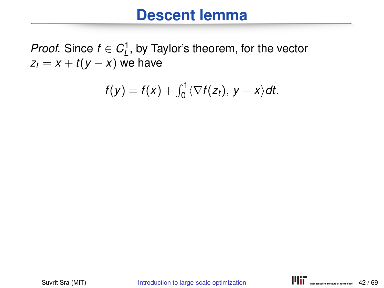*Proof.* Since  $f \in C^1_L$ , by Taylor's theorem, for the vector  $z_t = x + t(y - x)$  we have

$$
f(y)=f(x)+\int_0^1\langle\nabla f(z_t), y-x\rangle dt.
$$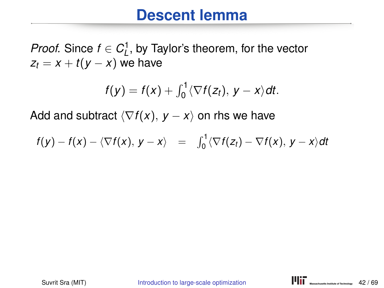*Proof.* Since  $f \in C^1_L$ , by Taylor's theorem, for the vector  $z_t = x + t(y - x)$  we have

$$
f(y)=f(x)+\int_0^1\langle\nabla f(z_t), y-x\rangle dt.
$$

$$
f(y) - f(x) - \langle \nabla f(x), y - x \rangle = \int_0^1 \langle \nabla f(z_t) - \nabla f(x), y - x \rangle dt
$$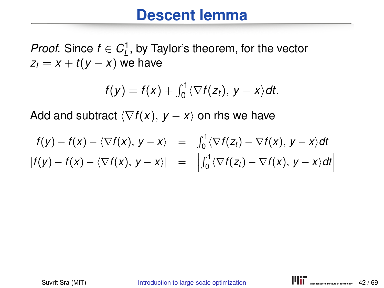*Proof.* Since  $f \in C^1_L$ , by Taylor's theorem, for the vector  $z_t = x + t(y - x)$  we have

$$
f(y)=f(x)+\int_0^1\langle\nabla f(z_t), y-x\rangle dt.
$$

$$
f(y) - f(x) - \langle \nabla f(x), y - x \rangle = \int_0^1 \langle \nabla f(z_t) - \nabla f(x), y - x \rangle dt
$$
  
\n
$$
|f(y) - f(x) - \langle \nabla f(x), y - x \rangle| = \left| \int_0^1 \langle \nabla f(z_t) - \nabla f(x), y - x \rangle dt \right|
$$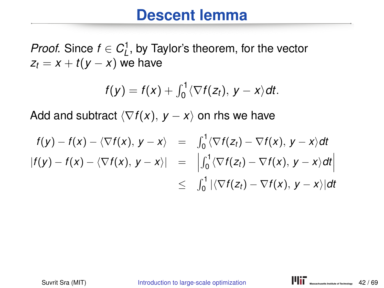*Proof.* Since  $f \in C^1_L$ , by Taylor's theorem, for the vector  $z_t = x + t(y - x)$  we have

$$
f(y)=f(x)+\int_0^1\langle\nabla f(z_t), y-x\rangle dt.
$$

$$
f(y) - f(x) - \langle \nabla f(x), y - x \rangle = \int_0^1 \langle \nabla f(z_t) - \nabla f(x), y - x \rangle dt
$$
  
\n
$$
|f(y) - f(x) - \langle \nabla f(x), y - x \rangle| = \left| \int_0^1 \langle \nabla f(z_t) - \nabla f(x), y - x \rangle dt \right|
$$
  
\n
$$
\leq \int_0^1 |\langle \nabla f(z_t) - \nabla f(x), y - x \rangle| dt
$$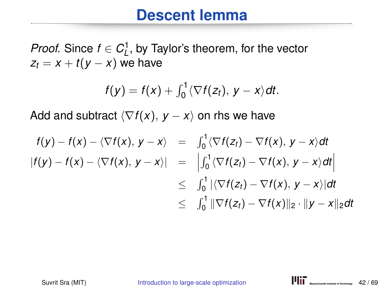*Proof.* Since  $f \in C^1_L$ , by Taylor's theorem, for the vector  $z_t = x + t(y - x)$  we have

$$
f(y)=f(x)+\int_0^1\langle\nabla f(z_t), y-x\rangle dt.
$$

$$
f(y) - f(x) - \langle \nabla f(x), y - x \rangle = \int_0^1 \langle \nabla f(z_t) - \nabla f(x), y - x \rangle dt
$$
  
\n
$$
|f(y) - f(x) - \langle \nabla f(x), y - x \rangle| = \left| \int_0^1 \langle \nabla f(z_t) - \nabla f(x), y - x \rangle dt \right|
$$
  
\n
$$
\leq \int_0^1 |\langle \nabla f(z_t) - \nabla f(x), y - x \rangle| dt
$$
  
\n
$$
\leq \int_0^1 \|\nabla f(z_t) - \nabla f(x)\|_2 \cdot \|y - x\|_2 dt
$$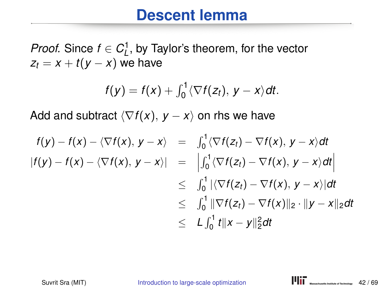*Proof.* Since  $f \in C^1_L$ , by Taylor's theorem, for the vector  $z_t = x + t(y - x)$  we have

$$
f(y)=f(x)+\int_0^1\langle\nabla f(z_t), y-x\rangle dt.
$$

$$
f(y) - f(x) - \langle \nabla f(x), y - x \rangle = \int_0^1 \langle \nabla f(z_t) - \nabla f(x), y - x \rangle dt
$$
  
\n
$$
|f(y) - f(x) - \langle \nabla f(x), y - x \rangle| = \left| \int_0^1 \langle \nabla f(z_t) - \nabla f(x), y - x \rangle dt \right|
$$
  
\n
$$
\leq \int_0^1 |\langle \nabla f(z_t) - \nabla f(x), y - x \rangle| dt
$$
  
\n
$$
\leq \int_0^1 \|\nabla f(z_t) - \nabla f(x)\|_2 \cdot \|y - x\|_2 dt
$$
  
\n
$$
\leq L \int_0^1 t \|x - y\|_2^2 dt
$$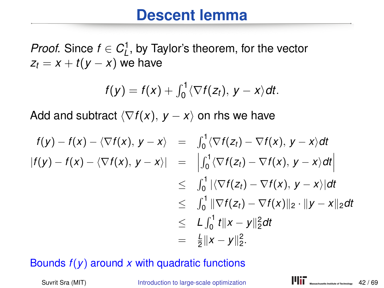*Proof.* Since  $f \in C^1_L$ , by Taylor's theorem, for the vector  $z_t = x + t(y - x)$  we have

$$
f(y)=f(x)+\int_0^1\langle\nabla f(z_t), y-x\rangle dt.
$$

Add and subtract  $\langle \nabla f(x), y - x \rangle$  on rhs we have

$$
f(y) - f(x) - \langle \nabla f(x), y - x \rangle = \int_0^1 \langle \nabla f(z_t) - \nabla f(x), y - x \rangle dt
$$
  
\n
$$
|f(y) - f(x) - \langle \nabla f(x), y - x \rangle| = \left| \int_0^1 \langle \nabla f(z_t) - \nabla f(x), y - x \rangle dt \right|
$$
  
\n
$$
\leq \int_0^1 |\langle \nabla f(z_t) - \nabla f(x), y - x \rangle| dt
$$
  
\n
$$
\leq \int_0^1 \|\nabla f(z_t) - \nabla f(x)\|_2 \cdot \|y - x\|_2 dt
$$
  
\n
$$
\leq L \int_0^1 t \|x - y\|_2^2 dt
$$
  
\n
$$
= \frac{L}{2} \|x - y\|_2^2.
$$

#### Bounds  $f(y)$  around  $x$  with quadratic functions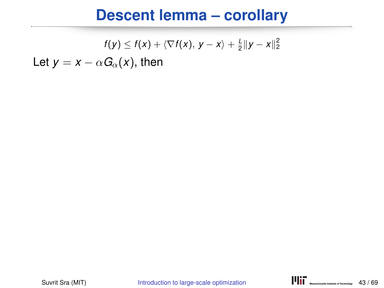# **Descent lemma – corollary**

$$
f(y) \leq f(x) + \langle \nabla f(x), y - x \rangle + \frac{1}{2} ||y - x||_2^2
$$

Let  $y = x - \alpha G_{\alpha}(x)$ , then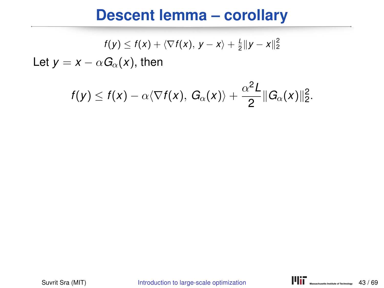# **Descent lemma – corollary**

$$
f(y) \leq f(x) + \langle \nabla f(x), y - x \rangle + \frac{1}{2} ||y - x||_2^2
$$

Let  $y = x - \alpha G_{\alpha}(x)$ , then

$$
f(y) \leq f(x) - \alpha \langle \nabla f(x), G_{\alpha}(x) \rangle + \frac{\alpha^2 L}{2} ||G_{\alpha}(x)||_2^2.
$$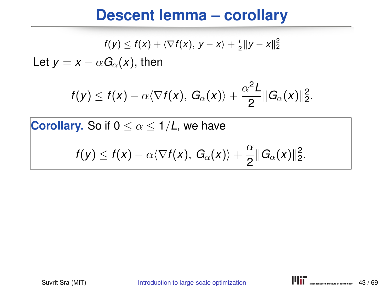#### **Descent lemma – corollary**

$$
f(y) \leq f(x) + \langle \nabla f(x), y - x \rangle + \frac{1}{2} ||y - x||_2^2
$$

Let  $y = x - \alpha G_{\alpha}(x)$ , then

$$
f(y) \leq f(x) - \alpha \langle \nabla f(x), G_{\alpha}(x) \rangle + \frac{\alpha^2 L}{2} ||G_{\alpha}(x)||_2^2.
$$

**Corollary.** So if  $0 \leq \alpha \leq 1/L$ , we have

$$
f(y)\leq f(x)-\alpha\langle \nabla f(x),\,G_{\alpha}(x)\rangle+\frac{\alpha}{2}\|G_{\alpha}(x)\|_2^2.
$$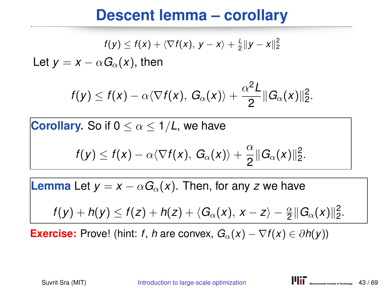#### **Descent lemma – corollary**

$$
f(y) \leq f(x) + \langle \nabla f(x), y - x \rangle + \frac{1}{2} ||y - x||_2^2
$$

Let  $y = x - \alpha G_{\alpha}(x)$ , then

$$
f(y) \leq f(x) - \alpha \langle \nabla f(x), G_{\alpha}(x) \rangle + \frac{\alpha^2 L}{2} ||G_{\alpha}(x)||_2^2.
$$

**Corollary.** So if  $0 \leq \alpha \leq 1/L$ , we have

$$
f(y) \leq f(x) - \alpha \langle \nabla f(x), G_{\alpha}(x) \rangle + \frac{\alpha}{2} ||G_{\alpha}(x)||_2^2.
$$

**Lemma** Let  $y = x - \alpha G_\alpha(x)$ . Then, for any *z* we have

$$
f(y)+h(y)\leq f(z)+h(z)+\langle G_{\alpha}(x), x-z\rangle-\frac{\alpha}{2}\|G_{\alpha}(x)\|_2^2.
$$

**Exercise:** Prove! (hint: *f*, *h* are convex,  $G_\alpha(x) - \nabla f(x) \in \partial h(y)$ )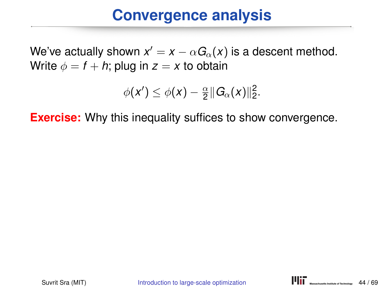We've actually shown  $x' = x - \alpha G_\alpha(x)$  is a descent method. Write  $\phi = f + h$ ; plug in  $z = x$  to obtain

$$
\phi(x')\leq \phi(x)-\tfrac{\alpha}{2}\|G_{\alpha}(x)\|_2^2.
$$

**Exercise:** Why this inequality suffices to show convergence.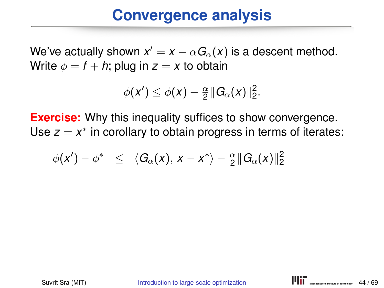We've actually shown  $x' = x - \alpha G_\alpha(x)$  is a descent method. Write  $\phi = f + h$ ; plug in  $z = x$  to obtain

$$
\phi(x')\leq \phi(x)-\tfrac{\alpha}{2}\|G_{\alpha}(x)\|_2^2.
$$

**Exercise:** Why this inequality suffices to show convergence. Use *z* = *x*<sup>\*</sup> in corollary to obtain progress in terms of iterates:

$$
\phi(x') - \phi^* \leq \langle G_{\alpha}(x), x - x^* \rangle - \frac{\alpha}{2} ||G_{\alpha}(x)||_2^2
$$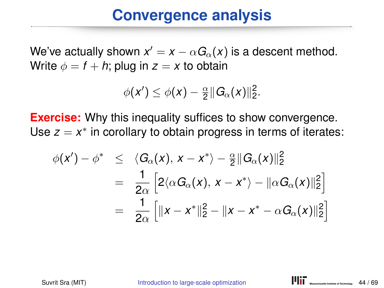We've actually shown  $x' = x - \alpha G_\alpha(x)$  is a descent method. Write  $\phi = f + h$ ; plug in  $z = x$  to obtain

$$
\phi(x')\leq \phi(x)-\tfrac{\alpha}{2}\|G_{\alpha}(x)\|_2^2.
$$

**Exercise:** Why this inequality suffices to show convergence. Use *z* = *x*<sup>\*</sup> in corollary to obtain progress in terms of iterates:

$$
\begin{array}{rcl}\n\phi(x') - \phi^* & \leq & \langle G_{\alpha}(x), x - x^* \rangle - \frac{\alpha}{2} \| G_{\alpha}(x) \|_2^2 \\
& = & \frac{1}{2\alpha} \left[ 2 \langle \alpha G_{\alpha}(x), x - x^* \rangle - \| \alpha G_{\alpha}(x) \|_2^2 \right] \\
& = & \frac{1}{2\alpha} \left[ \|x - x^* \|_2^2 - \|x - x^* - \alpha G_{\alpha}(x) \|_2^2 \right]\n\end{array}
$$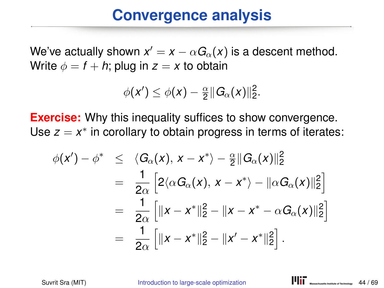We've actually shown  $x' = x - \alpha G_\alpha(x)$  is a descent method. Write  $\phi = f + h$ ; plug in  $z = x$  to obtain

$$
\phi(x')\leq \phi(x)-\tfrac{\alpha}{2}\|G_{\alpha}(x)\|_2^2.
$$

**Exercise:** Why this inequality suffices to show convergence. Use *z* = *x*<sup>\*</sup> in corollary to obtain progress in terms of iterates:

$$
\phi(x') - \phi^* \leq \langle G_{\alpha}(x), x - x^* \rangle - \frac{\alpha}{2} ||G_{\alpha}(x)||_2^2
$$
  
\n
$$
= \frac{1}{2\alpha} \left[ 2 \langle \alpha G_{\alpha}(x), x - x^* \rangle - ||\alpha G_{\alpha}(x)||_2^2 \right]
$$
  
\n
$$
= \frac{1}{2\alpha} \left[ ||x - x^*||_2^2 - ||x - x^* - \alpha G_{\alpha}(x)||_2^2 \right]
$$
  
\n
$$
= \frac{1}{2\alpha} \left[ ||x - x^*||_2^2 - ||x' - x^*||_2^2 \right].
$$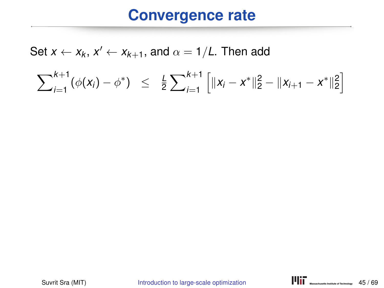$$
\sum_{i=1}^{k+1} (\phi(x_i) - \phi^*) \leq \frac{1}{2} \sum_{i=1}^{k+1} \left[ ||x_i - x^*||_2^2 - ||x_{i+1} - x^*||_2^2 \right]
$$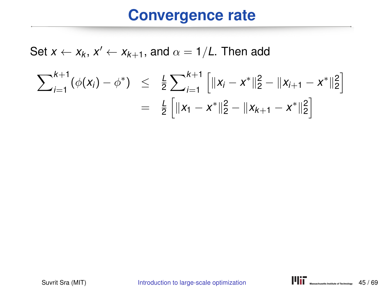$$
\sum_{i=1}^{k+1} (\phi(x_i) - \phi^*) \leq \frac{1}{2} \sum_{i=1}^{k+1} \left[ \|x_i - x^*\|_2^2 - \|x_{i+1} - x^*\|_2^2 \right] \\ = \frac{1}{2} \left[ \|x_1 - x^*\|_2^2 - \|x_{k+1} - x^*\|_2^2 \right]
$$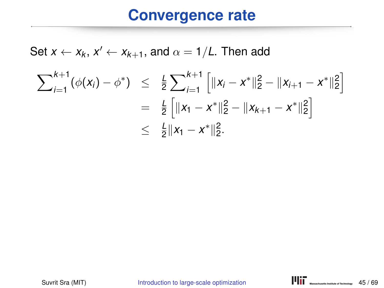$$
\sum_{i=1}^{k+1} (\phi(x_i) - \phi^*) \leq \frac{1}{2} \sum_{i=1}^{k+1} \left[ \|x_i - x^*\|_2^2 - \|x_{i+1} - x^*\|_2^2 \right] \\
= \frac{1}{2} \left[ \|x_1 - x^*\|_2^2 - \|x_{k+1} - x^*\|_2^2 \right] \\
\leq \frac{1}{2} \|x_1 - x^*\|_2^2.
$$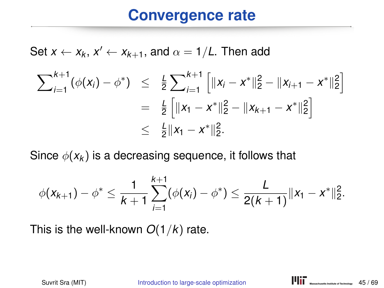Set  $x \leftarrow x_k$ ,  $x' \leftarrow x_{k+1}$ , and  $\alpha = 1/L$ . Then add

$$
\sum_{i=1}^{k+1} (\phi(x_i) - \phi^*) \leq \frac{1}{2} \sum_{i=1}^{k+1} \left[ \|x_i - x^*\|_2^2 - \|x_{i+1} - x^*\|_2^2 \right] \\
= \frac{1}{2} \left[ \|x_1 - x^*\|_2^2 - \|x_{k+1} - x^*\|_2^2 \right] \\
\leq \frac{1}{2} \|x_1 - x^*\|_2^2.
$$

Since  $\phi(x_k)$  is a decreasing sequence, it follows that

$$
\phi(x_{k+1}) - \phi^* \leq \frac{1}{k+1} \sum_{i=1}^{k+1} (\phi(x_i) - \phi^*) \leq \frac{L}{2(k+1)} \|x_1 - x^*\|_2^2.
$$

This is the well-known *O*(1/*k*) rate.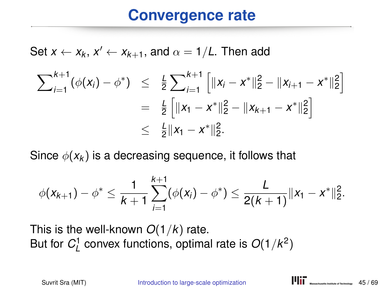Set  $x \leftarrow x_k$ ,  $x' \leftarrow x_{k+1}$ , and  $\alpha = 1/L$ . Then add

$$
\sum_{i=1}^{k+1} (\phi(x_i) - \phi^*) \leq \frac{1}{2} \sum_{i=1}^{k+1} \left[ \|x_i - x^*\|_2^2 - \|x_{i+1} - x^*\|_2^2 \right] \\
= \frac{1}{2} \left[ \|x_1 - x^*\|_2^2 - \|x_{k+1} - x^*\|_2^2 \right] \\
\leq \frac{1}{2} \|x_1 - x^*\|_2^2.
$$

Since  $\phi(x_k)$  is a decreasing sequence, it follows that

$$
\phi(x_{k+1}) - \phi^* \leq \frac{1}{k+1} \sum_{i=1}^{k+1} (\phi(x_i) - \phi^*) \leq \frac{L}{2(k+1)} \|x_1 - x^*\|_2^2.
$$

This is the well-known *O*(1/*k*) rate. But for  $C_{L}^{1}$  convex functions, optimal rate is  $O(1/k^{2})$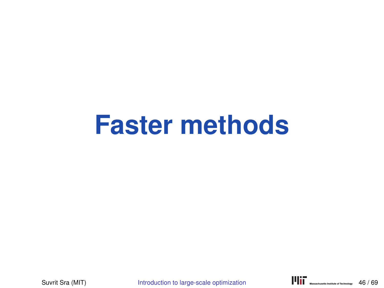# **Faster methods**

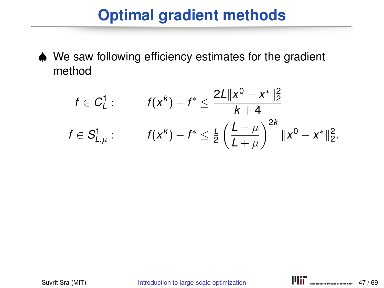# **Optimal gradient methods**

♠ We saw following efficiency estimates for the gradient method

$$
f \in C_L^1: \qquad f(x^k) - f^* \leq \frac{2L \|x^0 - x^*\|_2^2}{k+4}
$$

$$
f \in S_{L,\mu}^1: \qquad f(x^k) - f^* \leq \frac{L}{2} \left(\frac{L-\mu}{L+\mu}\right)^{2k} \|x^0 - x^*\|_2^2.
$$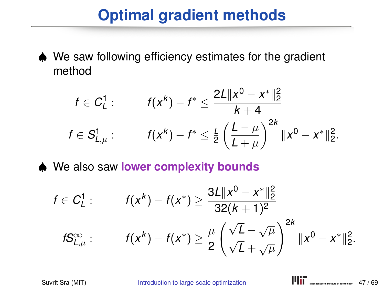# **Optimal gradient methods**

♠ We saw following efficiency estimates for the gradient method

$$
f \in C_L^1: \qquad f(x^k) - f^* \leq \frac{2L \|x^0 - x^*\|_2^2}{k+4}
$$

$$
f \in S_{L,\mu}^1: \qquad f(x^k) - f^* \leq \frac{L}{2} \left(\frac{L-\mu}{L+\mu}\right)^{2k} \|x^0 - x^*\|_2^2.
$$

♠ We also saw **lower complexity bounds**

$$
f \in C_L^1: \qquad f(x^k) - f(x^*) \ge \frac{3L||x^0 - x^*||_2^2}{32(k+1)^2}
$$
\n
$$
fS_{L,\mu}^{\infty}: \qquad f(x^k) - f(x^*) \ge \frac{\mu}{2} \left(\frac{\sqrt{L} - \sqrt{\mu}}{\sqrt{L} + \sqrt{\mu}}\right)^{2k} ||x^0 - x^*||_2^2.
$$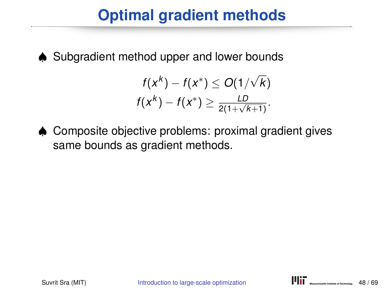# **Optimal gradient methods**

♠ Subgradient method upper and lower bounds

$$
f(x^{k}) - f(x^{*}) \leq O(1/\sqrt{k})
$$
  

$$
f(x^{k}) - f(x^{*}) \geq \frac{LD}{2(1+\sqrt{k+1})}.
$$

♠ Composite objective problems: proximal gradient gives same bounds as gradient methods.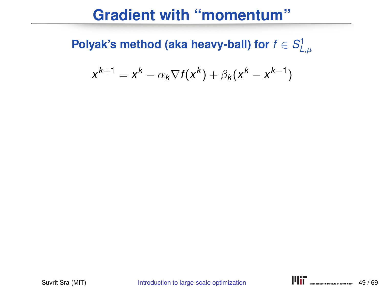#### **Gradient with "momentum"**

**Polyak's method (aka heavy-ball) for**  $f \in S^1_{L,\mu}$ 

$$
x^{k+1} = x^k - \alpha_k \nabla f(x^k) + \beta_k (x^k - x^{k-1})
$$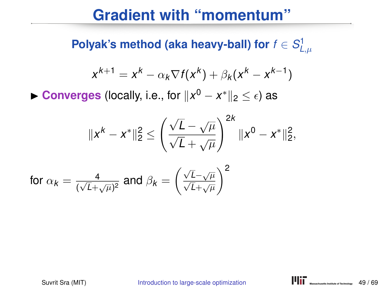#### **Gradient with "momentum"**

**Polyak's method (aka heavy-ball) for**  $f \in S^1_{L,\mu}$ 

$$
x^{k+1} = x^k - \alpha_k \nabla f(x^k) + \beta_k (x^k - x^{k-1})
$$

► Converges (locally, i.e., for  $||x^0 - x^*||_2 \leq \epsilon$ ) as

$$
||x^{k}-x^{*}||_{2}^{2} \leq \left(\frac{\sqrt{L}-\sqrt{\mu}}{\sqrt{L}+\sqrt{\mu}}\right)^{2k}||x^{0}-x^{*}||_{2}^{2},
$$

for 
$$
\alpha_k = \frac{4}{(\sqrt{L} + \sqrt{\mu})^2}
$$
 and  $\beta_k = \left(\frac{\sqrt{L} - \sqrt{\mu}}{\sqrt{L} + \sqrt{\mu}}\right)^2$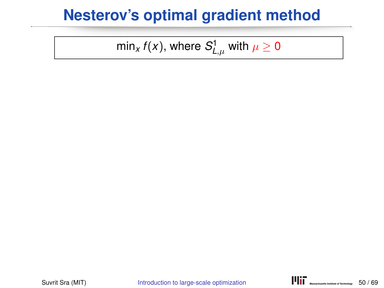min $_{\mathsf{x}}$   $f(\mathsf{x})$ , where  $\mathcal{S}_{\mathsf{L},\mu}^1$  with  $\mu\geq\mathsf{0}$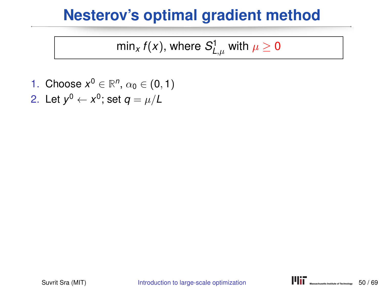min $_{\mathsf{x}}$   $f(\mathsf{x})$ , where  $\mathcal{S}_{\mathsf{L},\mu}^1$  with  $\mu\geq\mathsf{0}$ 

1. Choose  $x^0 \in \mathbb{R}^n$ ,  $\alpha_0 \in (0,1)$ 2. Let  $y^0 \leftarrow x^0$ ; set  $q = \mu/L$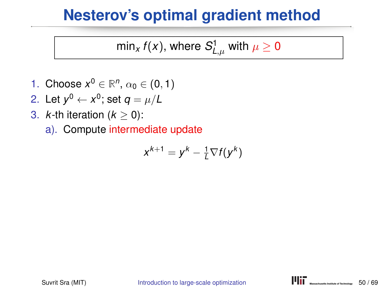min $_{\mathsf{x}}$   $f(\mathsf{x})$ , where  $\mathcal{S}_{\mathsf{L},\mu}^1$  with  $\mu\geq\mathsf{0}$ 

- 1. Choose  $x^0 \in \mathbb{R}^n$ ,  $\alpha_0 \in (0,1)$
- 2. Let  $y^0 \leftarrow x^0$ ; set  $q = \mu/L$
- 3.  $k$ -th iteration  $(k > 0)$ :
	- a). Compute intermediate update

$$
x^{k+1} = y^k - \frac{1}{L} \nabla f(y^k)
$$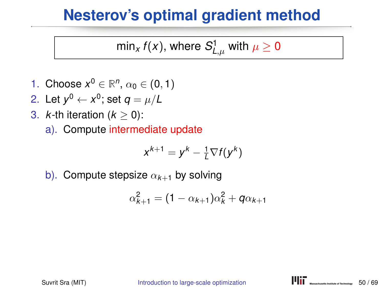min $_{\mathsf{x}}$   $f(\mathsf{x})$ , where  $\mathcal{S}_{\mathsf{L},\mu}^1$  with  $\mu\geq\mathsf{0}$ 

- 1. Choose  $x^0 \in \mathbb{R}^n$ ,  $\alpha_0 \in (0,1)$
- 2. Let  $y^0 \leftarrow x^0$ ; set  $q = \mu/L$
- 3.  $k$ -th iteration  $(k > 0)$ :
	- a). Compute intermediate update

$$
x^{k+1} = y^k - \frac{1}{L} \nabla f(y^k)
$$

b). Compute stepsize  $\alpha_{k+1}$  by solving

$$
\alpha_{k+1}^2 = (1 - \alpha_{k+1})\alpha_k^2 + q\alpha_{k+1}
$$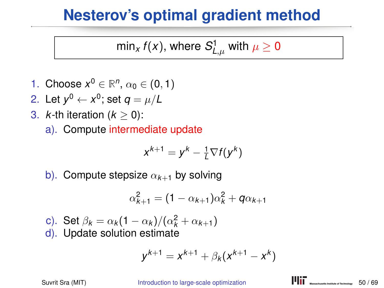min $_{\mathsf{x}}$   $f(\mathsf{x})$ , where  $\mathcal{S}_{\mathsf{L},\mu}^1$  with  $\mu\geq\mathsf{0}$ 

- 1. Choose  $x^0 \in \mathbb{R}^n$ ,  $\alpha_0 \in (0,1)$
- 2. Let  $y^0 \leftarrow x^0$ ; set  $q = \mu/L$
- 3.  $k$ -th iteration  $(k > 0)$ :
	- a). Compute intermediate update

$$
x^{k+1} = y^k - \frac{1}{L} \nabla f(y^k)
$$

b). Compute stepsize  $\alpha_{k+1}$  by solving

$$
\alpha_{k+1}^2 = (1 - \alpha_{k+1})\alpha_k^2 + q\alpha_{k+1}
$$

- c). Set  $\beta_k = \alpha_k (1 \alpha_k) / (\alpha_k^2 + \alpha_{k+1})$
- d). Update solution estimate

$$
y^{k+1} = x^{k+1} + \beta_k (x^{k+1} - x^k)
$$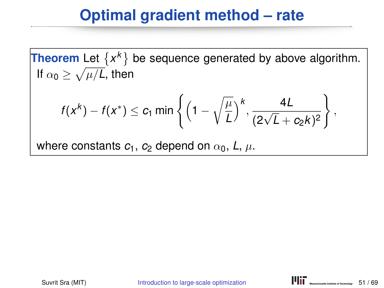## **Optimal gradient method – rate**

**Theorem** Let  $\{x^k\}$  be sequence generated by above algorithm. If  $\alpha_0 \geq \sqrt{\mu/L}$ , then

$$
f(x^k)-f(x^*)\leq c_1 \min\left\{\left(1-\sqrt{\frac{\mu}{L}}\right)^k,\frac{4L}{(2\sqrt{L}+c_2k)^2}\right\},\,
$$

where constants  $c_1$ ,  $c_2$  depend on  $\alpha_0$ ,  $L$ ,  $\mu$ .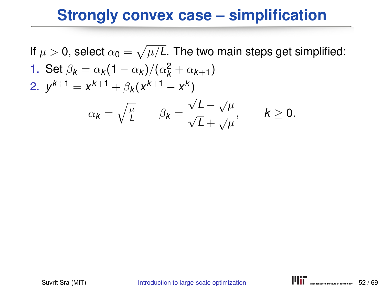If  $\mu >$  0, select  $\alpha_{\bf 0} = \sqrt{\mu/L}.$  The two main steps get simplified: 1. Set  $\beta_k = \alpha_k (1 - \alpha_k) / (\alpha_k^2 + \alpha_{k+1})$ 2.  $y^{k+1} = x^{k+1} + \beta_k (x^{k+1} - x^k)$  $\alpha_k = \sqrt{\frac{\mu}{L}}$  $L^{\mu}$   $\beta_k =$  $\sqrt{L} - \sqrt{\mu}$  $\frac{\sqrt{L}}{\sqrt{L} + \sqrt{\mu}}, \qquad k \ge 0.$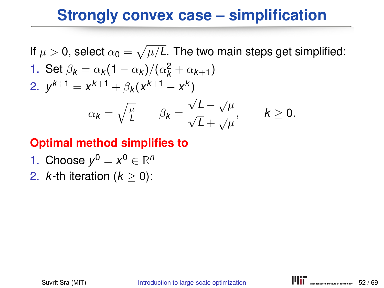If  $\mu >$  0, select  $\alpha_{\bf 0} = \sqrt{\mu/L}.$  The two main steps get simplified: 1. Set  $\beta_k = \alpha_k (1 - \alpha_k) / (\alpha_k^2 + \alpha_{k+1})$ 2.  $y^{k+1} = x^{k+1} + \beta_k (x^{k+1} - x^k)$  $\alpha_k = \sqrt{\frac{\mu}{L}}$  $L^{\mu}$   $\beta_k =$  $\sqrt{L} - \sqrt{\mu}$  $\sqrt{L} + \sqrt{\mu}$  $k \geq 0$ .

#### **Optimal method simplifies to**

1. Choose 
$$
y^0 = x^0 \in \mathbb{R}^n
$$

2.  $k$ -th iteration  $(k > 0)$ :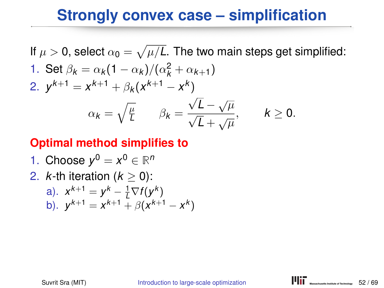If  $\mu >$  0, select  $\alpha_{\bf 0} = \sqrt{\mu/L}.$  The two main steps get simplified: 1. Set  $\beta_k = \alpha_k (1 - \alpha_k) / (\alpha_k^2 + \alpha_{k+1})$ 2.  $y^{k+1} = x^{k+1} + \beta_k (x^{k+1} - x^k)$  $\alpha_k = \sqrt{\frac{\mu}{L}}$  $L^{\mu}$   $\beta_k =$  $\sqrt{L} - \sqrt{\mu}$  $\sqrt{L} + \sqrt{\mu}$  $k \geq 0$ .

#### **Optimal method simplifies to**

\n- 1. Choose 
$$
y^0 = x^0 \in \mathbb{R}^n
$$
\n- 2. *k*-th iteration ( $k \geq 0$ ):
\n

a). 
$$
x^{k+1} = y^k - \frac{1}{k} \nabla f(y^k)
$$
  
b).  $y^{k+1} = x^{k+1} + \beta(x^{k+1} - x^k)$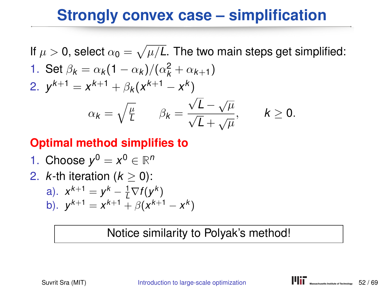If  $\mu >$  0, select  $\alpha_{\bf 0} = \sqrt{\mu/L}.$  The two main steps get simplified: 1. Set  $\beta_k = \alpha_k (1 - \alpha_k) / (\alpha_k^2 + \alpha_{k+1})$ 2.  $y^{k+1} = x^{k+1} + \beta_k (x^{k+1} - x^k)$  $\alpha_k = \sqrt{\frac{\mu}{L}}$  $L^{\mu}$   $\beta_k =$  $\sqrt{L} - \sqrt{\mu}$  $\sqrt{L} + \sqrt{\mu}$  $k \geq 0$ .

#### **Optimal method simplifies to**

1. Choose 
$$
y^0 = x^0 \in \mathbb{R}^n
$$

2.  $k$ -th iteration  $(k > 0)$ :

a). 
$$
x^{k+1} = y^k - \frac{1}{k} \nabla f(y^k)
$$
  
b).  $y^{k+1} = x^{k+1} + \beta(x^{k+1} - x^k)$ 

#### Notice similarity to Polyak's method!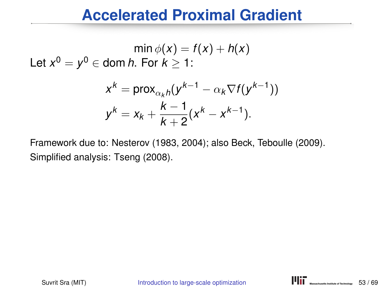#### **Accelerated Proximal Gradient**

 $\min \phi(x) = f(x) + h(x)$ Let  $x^0 = y^0 \in$  dom *h*. For  $k \geq 1$ :

$$
x^{k} = \text{prox}_{\alpha_{k}h}(y^{k-1} - \alpha_{k} \nabla f(y^{k-1}))
$$
  

$$
y^{k} = x_{k} + \frac{k-1}{k+2}(x^{k} - x^{k-1}).
$$

Framework due to: Nesterov (1983, 2004); also Beck, Teboulle (2009). Simplified analysis: Tseng (2008).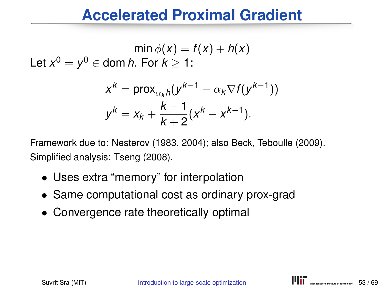#### **Accelerated Proximal Gradient**

 $min \phi(x) = f(x) + h(x)$ Let  $x^0 = y^0 \in$  dom *h*. For  $k \geq 1$ :

$$
x^{k} = \text{prox}_{\alpha_{k}h}(y^{k-1} - \alpha_{k} \nabla f(y^{k-1}))
$$
  

$$
y^{k} = x_{k} + \frac{k-1}{k+2}(x^{k} - x^{k-1}).
$$

Framework due to: Nesterov (1983, 2004); also Beck, Teboulle (2009). Simplified analysis: Tseng (2008).

- Uses extra "memory" for interpolation
- Same computational cost as ordinary prox-grad
- Convergence rate theoretically optimal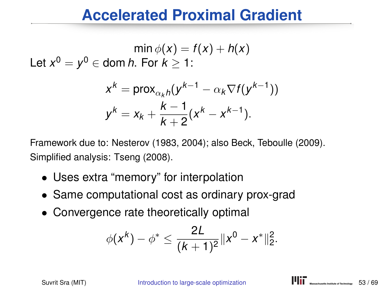#### **Accelerated Proximal Gradient**

$$
\min \phi(x) = f(x) + h(x)
$$
  
Let  $x^0 = y^0 \in \text{dom } h$ . For  $k \ge 1$ :

$$
x^{k} = \text{prox}_{\alpha_{k}h}(y^{k-1} - \alpha_{k} \nabla f(y^{k-1}))
$$
  

$$
y^{k} = x_{k} + \frac{k-1}{k+2}(x^{k} - x^{k-1}).
$$

Framework due to: Nesterov (1983, 2004); also Beck, Teboulle (2009). Simplified analysis: Tseng (2008).

- Uses extra "memory" for interpolation
- Same computational cost as ordinary prox-grad
- Convergence rate theoretically optimal

$$
\phi(x^k) - \phi^* \leq \frac{2L}{(k+1)^2} \|x^0 - x^*\|_2^2.
$$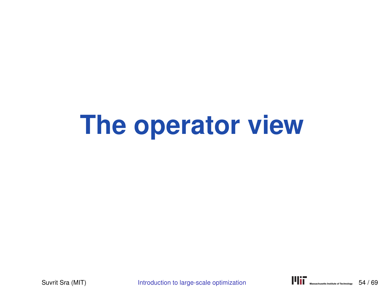# **The operator view**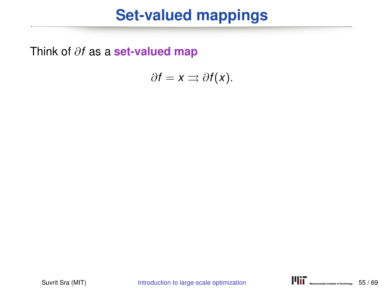Think of ∂*f* as a **set-valued map**

$$
\partial f = x \rightrightarrows \partial f(x).
$$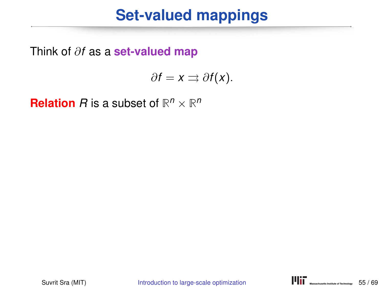Think of ∂*f* as a **set-valued map**

$$
\partial f = x \rightrightarrows \partial f(x).
$$

**Relation** *R* is a subset of  $\mathbb{R}^n \times \mathbb{R}^n$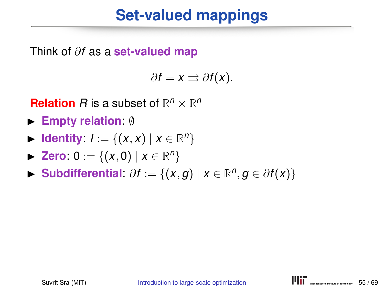Think of ∂*f* as a **set-valued map**

$$
\partial f = x \rightrightarrows \partial f(x).
$$

**Relation** *R* is a subset of  $\mathbb{R}^n \times \mathbb{R}^n$ 

- **► Empty relation:** Ø
- **► Identity**:  $I := \{(x, x) | x \in \mathbb{R}^n\}$
- **► Zero**:  $0 := \{(x, 0) | x \in \mathbb{R}^n\}$
- **► Subdifferential:**  $\partial f := \{(x, g) | x \in \mathbb{R}^n, g \in \partial f(x)\}$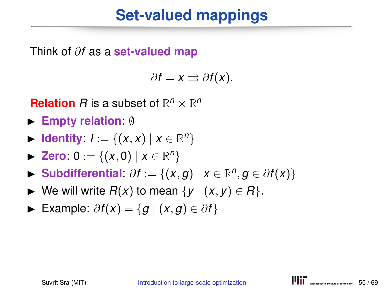Think of ∂*f* as a **set-valued map**

$$
\partial f = x \rightrightarrows \partial f(x).
$$

**Relation** *R* is a subset of  $\mathbb{R}^n \times \mathbb{R}^n$ 

- **► Empty relation:** Ø
- **► Identity**:  $I := \{(x, x) | x \in \mathbb{R}^n\}$
- **► Zero**:  $0 := \{(x, 0) | x \in \mathbb{R}^n\}$
- **► Subdifferential:**  $\partial f := \{(x, g) | x \in \mathbb{R}^n, g \in \partial f(x)\}$
- $\triangleright$  We will write *R*(*x*) to mean {*y* | (*x*, *y*) ∈ *R*}.
- $\triangleright$  Example:  $\partial f(x) = \{g \mid (x, g) \in \partial f\}$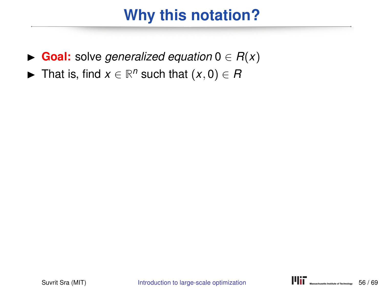# **Why this notation?**

- $\triangleright$  **Goal:** solve *generalized equation*  $0 \in R(x)$
- **►** That is, find  $x \in \mathbb{R}^n$  such that  $(x, 0) \in R$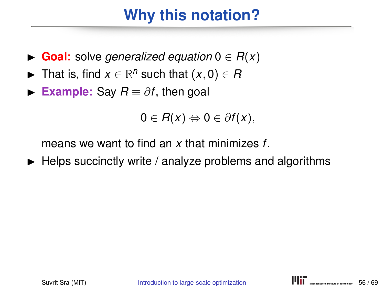# **Why this notation?**

- $\blacktriangleright$  **Goal:** solve *generalized equation*  $0 \in R(x)$
- **►** That is, find  $x \in \mathbb{R}^n$  such that  $(x, 0) \in R$
- **Example:** Say  $R \equiv \partial f$ , then goal

$$
0\in R(x)\Leftrightarrow 0\in \partial f(x),
$$

means we want to find an *x* that minimizes *f*.

 $\blacktriangleright$  Helps succinctly write / analyze problems and algorithms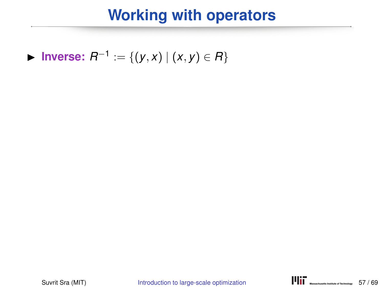► Inverse:  $R^{-1} := \{(y, x) | (x, y) \in R\}$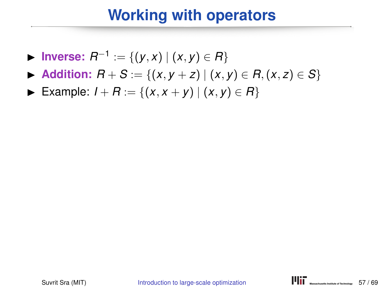- ► Inverse:  $R^{-1} := \{(y, x) | (x, y) \in R\}$
- $\triangleright$  **Addition:**  $R + S := \{(x, y + z) | (x, y) \in R, (x, z) \in S\}$
- $\triangleright$  Example: *I* + *R* := {(*x*, *x* + *y*) | (*x*, *y*) ∈ *R*}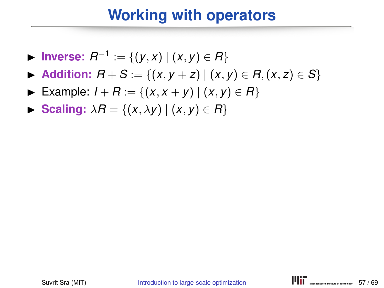- ► Inverse:  $R^{-1} := \{(y, x) | (x, y) \in R\}$
- $\triangleright$  **Addition:**  $R + S := \{(x, y + z) | (x, y) \in R, (x, z) \in S\}$
- ► Example:  $I + R := \{(x, x + y) | (x, y) \in R\}$
- $\blacktriangleright$  **Scaling:**  $\lambda R = \{(x, \lambda y) | (x, y) \in R\}$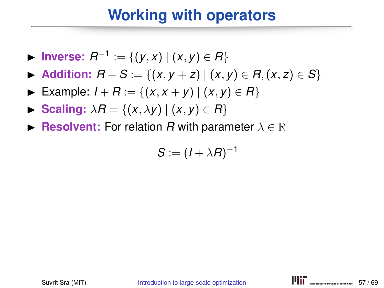- ► Inverse:  $R^{-1} := \{(y, x) | (x, y) \in R\}$
- $\triangleright$  **Addition:**  $R + S := \{(x, y + z) | (x, y) \in R, (x, z) \in S\}$
- ► Example:  $I + R := \{(x, x + y) | (x, y) \in R\}$
- $\triangleright$  **Scaling:**  $\lambda R = \{(x, \lambda y) | (x, y) \in R\}$
- **Example 3** Resolvent: For relation *R* with parameter  $\lambda \in \mathbb{R}$

$$
S:=(I+\lambda R)^{-1}
$$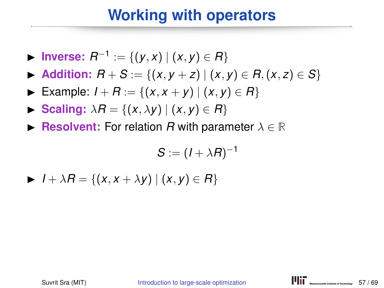- ► Inverse:  $R^{-1} := \{(y, x) | (x, y) \in R\}$
- $\triangleright$  **Addition:**  $R + S := \{(x, y + z) | (x, y) \in R, (x, z) \in S\}$
- ► Example:  $I + R := \{(x, x + y) | (x, y) \in R\}$
- $\triangleright$  **Scaling:**  $\lambda R = \{(x, \lambda y) | (x, y) \in R\}$
- **Example 3** Resolvent: For relation *R* with parameter  $\lambda \in \mathbb{R}$

$$
S:=(I+\lambda R)^{-1}
$$

$$
\blacktriangleright I + \lambda R = \{(x, x + \lambda y) \mid (x, y) \in R\}
$$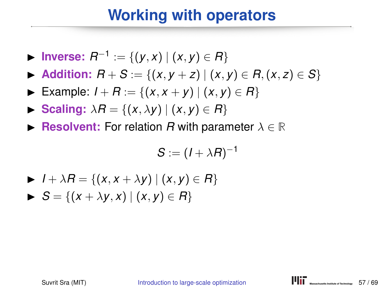- ► Inverse:  $R^{-1} := \{(y, x) | (x, y) \in R\}$
- $\blacktriangleright$  **Addition:**  $R + S := \{(x, y + z) | (x, y) \in R, (x, z) \in S\}$
- ► Example:  $I + R := \{(x, x + y) | (x, y) \in R\}$
- $\blacktriangleright$  **Scaling:**  $\lambda R = \{(x, \lambda y) | (x, y) \in R\}$
- **Example 1 Resolvent:** For relation *R* with parameter  $\lambda \in \mathbb{R}$

$$
S:=(I+\lambda R)^{-1}
$$

- $\blacktriangleright$  *I* +  $\lambda$ *R* = {(*x*, *x* +  $\lambda$ *y*) | (*x*, *y*) ∈ *R*}
- $\triangleright$  *S* = {(*x* +  $\lambda$ *y*, *x*) | (*x*, *y*) ∈ *R*}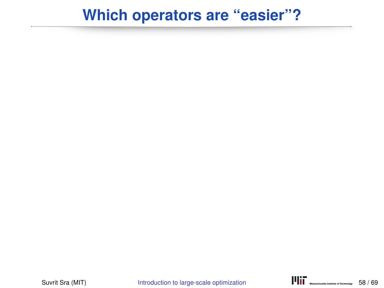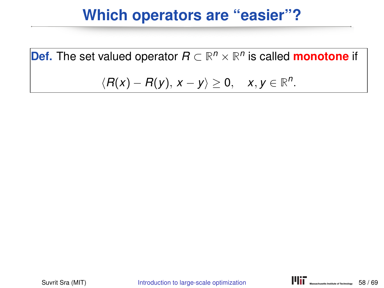**Def.** The set valued operator  $R \subset \mathbb{R}^n \times \mathbb{R}^n$  is called **monotone** if

$$
\langle R(x)-R(y), x-y\rangle\geq 0, \quad x,y\in\mathbb{R}^n.
$$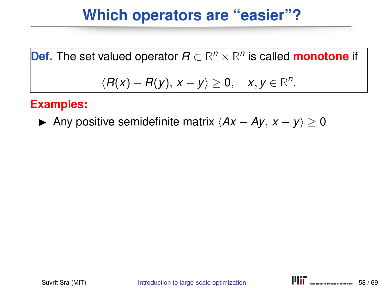**Def.** The set valued operator 
$$
R \subset \mathbb{R}^n \times \mathbb{R}^n
$$
 is called **monotone** if  $\langle R(x) - R(y), x - y \rangle \geq 0, \quad x, y \in \mathbb{R}^n.$ 

#### **Examples:**

**►** Any positive semidefinite matrix  $\langle Ax - Ay, x - y \rangle \ge 0$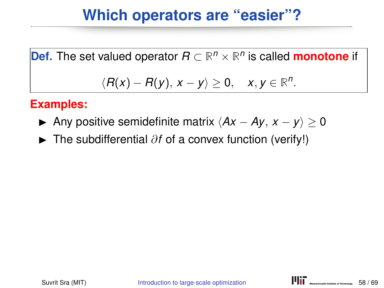**Def.** The set valued operator  $R \subset \mathbb{R}^n \times \mathbb{R}^n$  is called **monotone** if  $\langle R(x) - R(y), x - y \rangle \geq 0, \quad x, y \in \mathbb{R}^n$ .

#### **Examples:**

- **►** Any positive semidefinite matrix  $\langle Ax Ay, x y \rangle \ge 0$
- **►** The subdifferential ∂*f* of a convex function (verify!)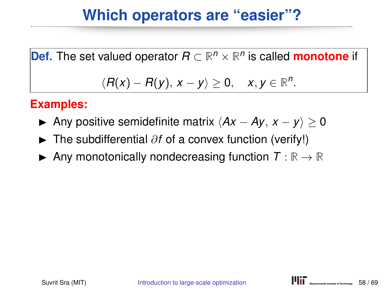**Def.** The set valued operator  $R \subset \mathbb{R}^n \times \mathbb{R}^n$  is called **monotone** if  $\langle R(x) - R(y), x - y \rangle \geq 0, \quad x, y \in \mathbb{R}^n$ .

#### **Examples:**

- **►** Any positive semidefinite matrix  $\langle Ax Ay, x y \rangle \ge 0$
- **►** The subdifferential ∂*f* of a convex function (verify!)
- $\blacktriangleright$  Any monotonically nondecreasing function  $T : \mathbb{R} \to \mathbb{R}$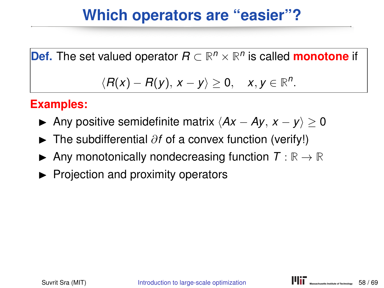**Def.** The set valued operator  $R \subset \mathbb{R}^n \times \mathbb{R}^n$  is called **monotone** if  $\langle R(x) - R(y), x - y \rangle \geq 0, \quad x, y \in \mathbb{R}^n$ .

#### **Examples:**

- **►** Any positive semidefinite matrix  $\langle Ax Ay, x y \rangle > 0$
- **►** The subdifferential ∂*f* of a convex function (verify!)
- $\blacktriangleright$  Any monotonically nondecreasing function  $T : \mathbb{R} \to \mathbb{R}$
- $\blacktriangleright$  Projection and proximity operators

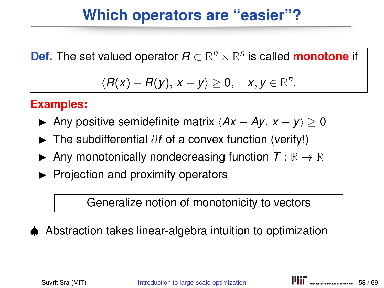**Def.** The set valued operator  $R \subset \mathbb{R}^n \times \mathbb{R}^n$  is called **monotone** if

# $\langle R(x) - R(y), x - y \rangle \geq 0, \quad x, y \in \mathbb{R}^n$ .

#### **Examples:**

- **►** Any positive semidefinite matrix  $\langle Ax Ay, x y \rangle > 0$
- **►** The subdifferential ∂*f* of a convex function (verify!)
- $\blacktriangleright$  Any monotonically nondecreasing function  $T : \mathbb{R} \to \mathbb{R}$
- $\blacktriangleright$  Projection and proximity operators

Generalize notion of monotonicity to vectors



♠ Abstraction takes linear-algebra intuition to optimization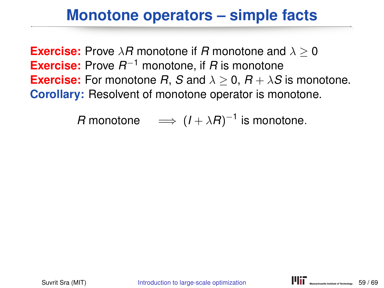#### **Monotone operators – simple facts**

**Exercise:** Prove  $\lambda$ *R* monotone if *R* monotone and  $\lambda \geq 0$ **Exercise:** Prove *R* <sup>−</sup><sup>1</sup> monotone, if *R* is monotone **Exercise:** For monotone *R*, *S* and  $\lambda \geq 0$ ,  $R + \lambda S$  is monotone. **Corollary:** Resolvent of monotone operator is monotone.

*R* monotone  $\implies$   $(I + \lambda R)^{-1}$  is monotone.

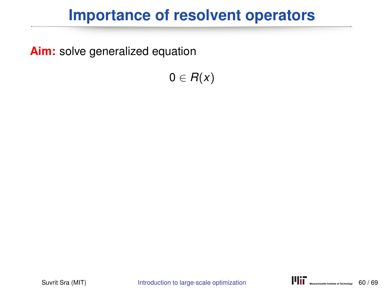**Aim:** solve generalized equation

 $0 \in R(x)$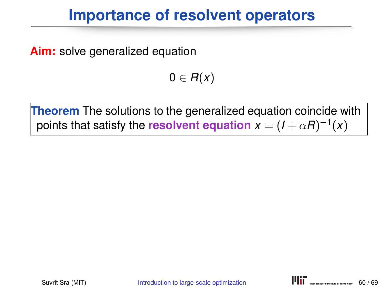**Aim:** solve generalized equation

 $0 \in R(x)$ 

**Theorem** The solutions to the generalized equation coincide with points that satisfy the resolvent equation  $x = (I + \alpha R)^{-1}(x)$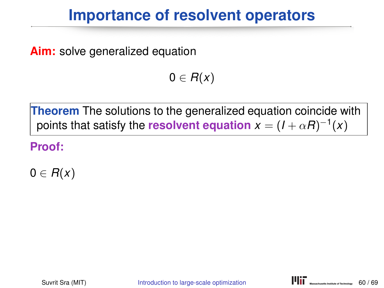**Aim:** solve generalized equation

 $0 \in R(x)$ 

**Theorem** The solutions to the generalized equation coincide with points that satisfy the resolvent equation  $x = (I + \alpha R)^{-1}(x)$ 

**Proof:**

 $0 \in R(x)$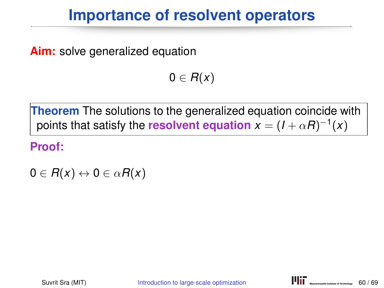**Aim:** solve generalized equation

 $0 \in R(x)$ 

**Theorem** The solutions to the generalized equation coincide with points that satisfy the resolvent equation  $x = (I + \alpha R)^{-1}(x)$ 

**Proof:**

 $0 \in R(x) \leftrightarrow 0 \in \alpha R(x)$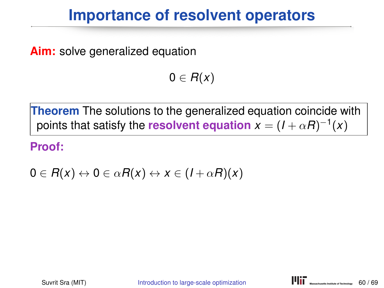**Aim:** solve generalized equation

 $0 \in R(x)$ 

**Theorem** The solutions to the generalized equation coincide with points that satisfy the resolvent equation  $x = (I + \alpha R)^{-1}(x)$ 

**Proof:**

 $0 \in R(x) \leftrightarrow 0 \in \alpha R(x) \leftrightarrow x \in (1+\alpha R)(x)$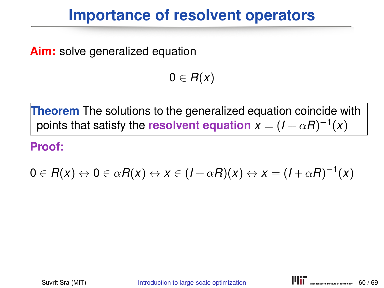**Aim:** solve generalized equation

 $0 \in R(x)$ 

**Theorem** The solutions to the generalized equation coincide with points that satisfy the resolvent equation  $x = (I + \alpha R)^{-1}(x)$ 

**Proof:**

$$
0\in R(x)\leftrightarrow 0\in \alpha R(x)\leftrightarrow x\in (I+\alpha R)(x)\leftrightarrow x=(I+\alpha R)^{-1}(x)
$$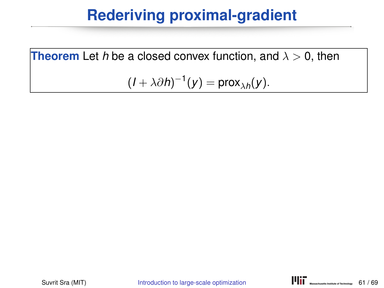**Theorem** Let *h* be a closed convex function, and  $\lambda > 0$ , then

$$
(I+\lambda\partial h)^{-1}(y)=\mathsf{prox}_{\lambda h}(y).
$$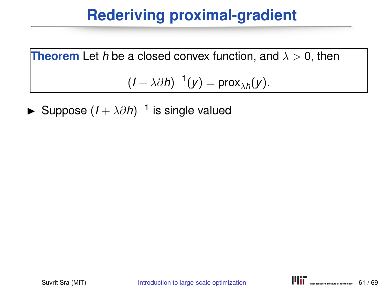**Theorem** Let *h* be a closed convex function, and  $\lambda > 0$ , then

 $(I + \lambda \partial h)^{-1}(y) = \text{prox}_{\lambda h}(y).$ 

► Suppose  $(I + \lambda \partial h)^{-1}$  is single valued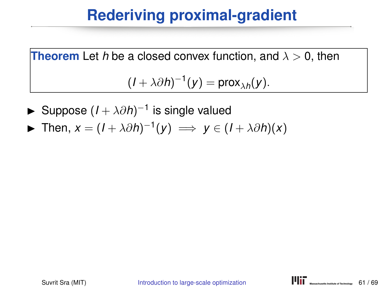- ► Suppose  $(I + \lambda \partial h)^{-1}$  is single valued
- ► Then,  $x = (I + \lambda \partial h)^{-1}(y) \implies y \in (I + \lambda \partial h)(x)$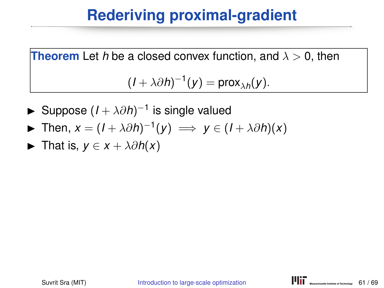- ► Suppose  $(I + \lambda \partial h)^{-1}$  is single valued
- ► Then,  $x = (I + \lambda \partial h)^{-1}(y) \implies y \in (I + \lambda \partial h)(x)$
- $\triangleright$  That is, *y* ∈ *x* +  $\lambda \partial h(x)$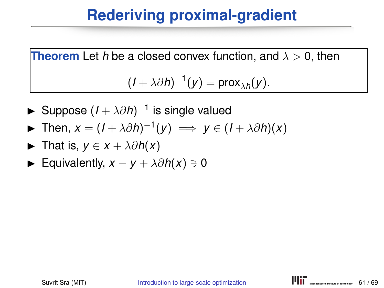- ► Suppose  $(I + \lambda \partial h)^{-1}$  is single valued
- ► Then,  $x = (I + \lambda \partial h)^{-1}(y) \implies y \in (I + \lambda \partial h)(x)$
- $\triangleright$  That is, *y* ∈ *x* +  $\lambda \partial h(x)$
- $\blacktriangleright$  Equivalently,  $x y + \lambda \partial h(x) \ni 0$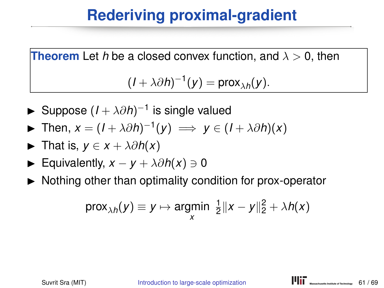- ► Suppose  $(I + \lambda \partial h)^{-1}$  is single valued
- ► Then,  $x = (I + \lambda \partial h)^{-1}(y) \implies y \in (I + \lambda \partial h)(x)$
- $\triangleright$  That is, *y* ∈ *x* +  $\lambda \partial h(x)$
- $\blacktriangleright$  Equivalently,  $x y + \lambda \partial h(x) \ni 0$
- $\triangleright$  Nothing other than optimality condition for prox-operator

$$
\text{prox}_{\lambda h}(y) \equiv y \mapsto \underset{x}{\text{argmin}} \ \frac{1}{2} \|x - y\|_2^2 + \lambda h(x)
$$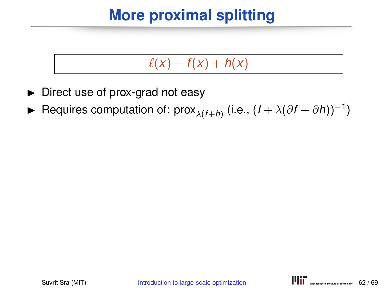# **More proximal splitting**

#### $\ell(x) + f(x) + h(x)$

- $\triangleright$  Direct use of prox-grad not easy
- ► Requires computation of: prox<sub> $\lambda$ (*f*+*h*)</sub> (i.e.,  $(I + \lambda(\partial f + \partial h))^{-1}$ )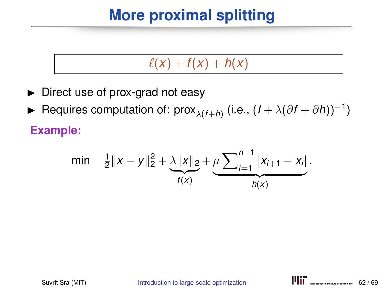# **More proximal splitting**

#### $\ell(x) + f(x) + h(x)$

- $\triangleright$  Direct use of prox-grad not easy
- ► Requires computation of: prox<sub> $\lambda$ (*f*+*h*)</sub> (i.e.,  $(I + \lambda(\partial f + \partial h))^{-1}$ ) **Example:**

min 
$$
\frac{1}{2}||x-y||_2^2 + \underbrace{\lambda ||x||_2}_{f(x)} + \underbrace{\mu \sum_{i=1}^{n-1} |x_{i+1} - x_i|}_{h(x)}
$$
.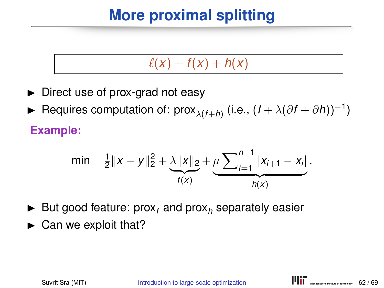# **More proximal splitting**

#### $\ell(x) + f(x) + h(x)$

- $\triangleright$  Direct use of prox-grad not easy
- ► Requires computation of: prox<sub> $\lambda$ (*f*+*h*)</sub> (i.e.,  $(I + \lambda(\partial f + \partial h))^{-1}$ ) **Example:**

#### min  $\frac{1}{2} \|x - y\|_2^2 + \lambda \|x\|_2$  ${f(x)}$ *f* (*x*)  $+\mu\sum_{i=1}^{n-1}$  $\left| X_{i+1} - X_i \right|$  ${h(x)}$ *h*(*x*) .

- $\blacktriangleright$  But good feature: prox<sub>f</sub> and prox<sub>h</sub> separately easier
- $\blacktriangleright$  Can we exploit that?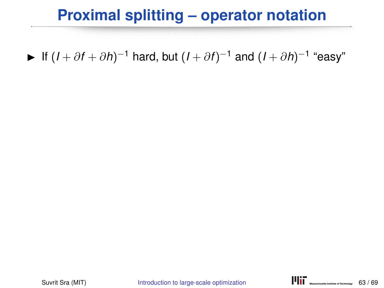#### **Proximal splitting – operator notation**

 $\blacktriangleright$  If  $(I + \partial f + \partial h)^{-1}$  hard, but  $(I + \partial f)^{-1}$  and  $(I + \partial h)^{-1}$  "easy"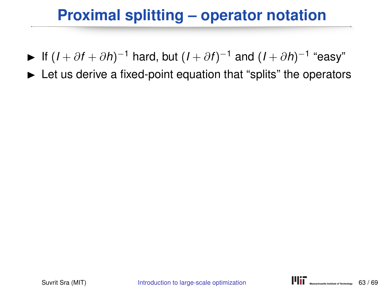#### **Proximal splitting – operator notation**

- $\blacktriangleright$  If  $(I + \partial f + \partial h)^{-1}$  hard, but  $(I + \partial f)^{-1}$  and  $(I + \partial h)^{-1}$  "easy"
- $\blacktriangleright$  Let us derive a fixed-point equation that "splits" the operators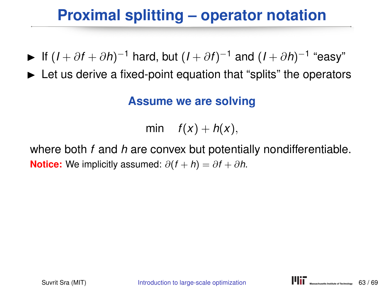#### **Proximal splitting – operator notation**

- $\blacktriangleright$  If  $(I + \partial f + \partial h)^{-1}$  hard, but  $(I + \partial f)^{-1}$  and  $(I + \partial h)^{-1}$  "easy"
- $\blacktriangleright$  Let us derive a fixed-point equation that "splits" the operators

#### **Assume we are solving**

min  $f(x) + h(x)$ ,

where both *f* and *h* are convex but potentially nondifferentiable. **Notice:** We implicitly assumed:  $\partial(f + h) = \partial f + \partial h$ .

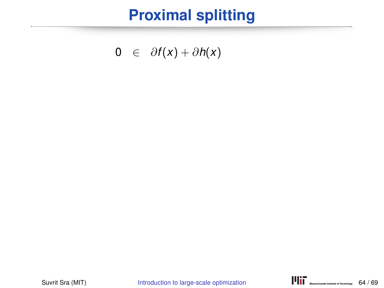#### **Proximal splitting**

0 ∈  $\partial f(x) + \partial h(x)$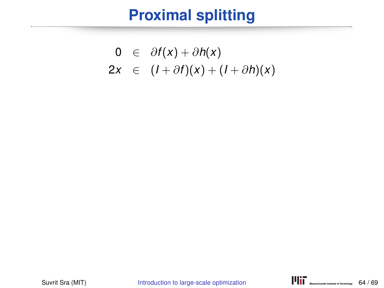#### **Proximal splitting**

$$
0 \in \partial f(x) + \partial h(x)
$$
  
2x \in (1 + \partial f)(x) + (1 + \partial h)(x)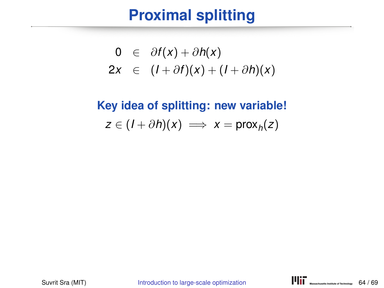$$
0 \in \partial f(x) + \partial h(x)
$$
  
2x \in (I + \partial f)(x) + (I + \partial h)(x)

# **Key idea of splitting: new variable!**  $z \in (I + \partial h)(x) \implies x = \text{prox}_h(z)$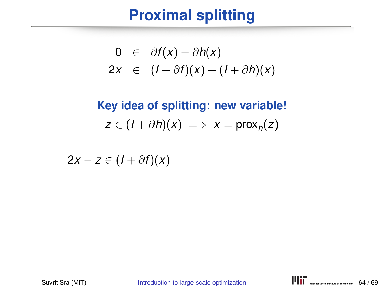$$
0 \in \partial f(x) + \partial h(x)
$$
  
2x \in (I + \partial f)(x) + (I + \partial h)(x)

# **Key idea of splitting: new variable!**  $z \in (I + \partial h)(x) \implies x = \text{prox}_h(z)$

 $2x - z \in (1 + \partial f)(x)$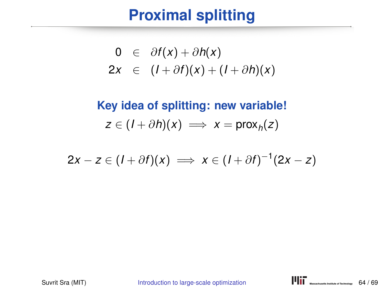$$
0 \in \partial f(x) + \partial h(x)
$$
  
2x \in (I + \partial f)(x) + (I + \partial h)(x)

**Key idea of splitting: new variable!**  $z \in (I + \partial h)(x) \implies x = \text{prox}_h(z)$ 

$$
2x-z\in (I+\partial f)(x) \implies x\in (I+\partial f)^{-1}(2x-z)
$$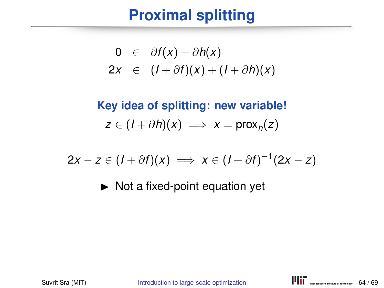$$
0 \in \partial f(x) + \partial h(x)
$$
  
2x \in (I + \partial f)(x) + (I + \partial h)(x)

**Key idea of splitting: new variable!**  $z \in (I + \partial h)(x) \implies x = \text{prox}_h(z)$ 

$$
2x-z\in (I+\partial f)(x) \implies x\in (I+\partial f)^{-1}(2x-z)
$$

 $\triangleright$  Not a fixed-point equation yet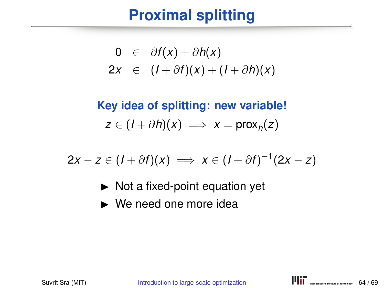$$
0 \in \partial f(x) + \partial h(x)
$$
  
2x \in (I + \partial f)(x) + (I + \partial h)(x)

**Key idea of splitting: new variable!**  $z \in (I + \partial h)(x) \implies x = \text{prox}_h(z)$ 

$$
2x-z\in (I+\partial f)(x) \implies x\in (I+\partial f)^{-1}(2x-z)
$$

- $\triangleright$  Not a fixed-point equation yet
- $\triangleright$  We need one more idea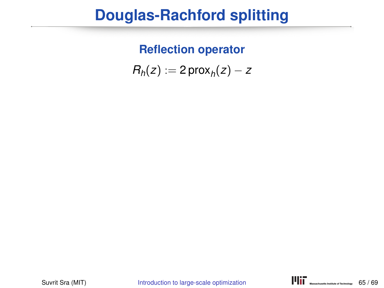#### **Reflection operator**

 $R_h(z) := 2 \text{prox}_h(z) - z$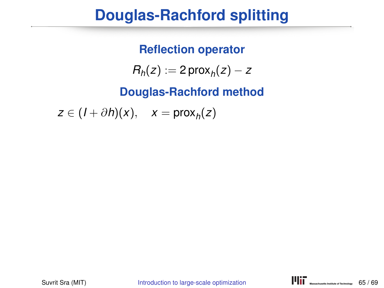#### **Reflection operator**

 $R_h(z) := 2 \text{prox}_h(z) - z$ 

**Douglas-Rachford method**

 $z \in (I + \partial h)(x), \quad x = \text{prox}_h(z)$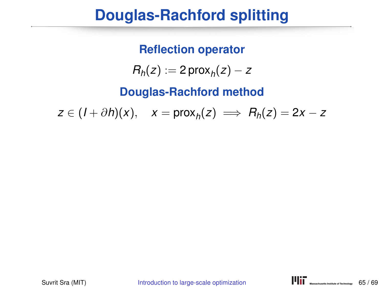**Reflection operator**

 $R_h(z) := 2 \text{prox}_h(z) - z$ 

**Douglas-Rachford method**

 $z \in (I + \partial h)(x), \quad x = \text{prox}_h(z) \implies R_h(z) = 2x - z$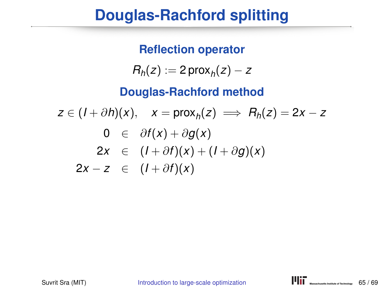**Reflection operator**  $R_h(z) := 2 \text{prox}_h(z) - z$ **Douglas-Rachford method**  $z \in (I + \partial h)(x), \quad x = \text{prox}_h(z) \implies R_h(z) = 2x - z$ 0 ∈  $\partial f(x) + \partial g(x)$  $2x \in (I + \partial f)(x) + (I + \partial g)(x)$  $2x - z \in (1 + \partial f)(x)$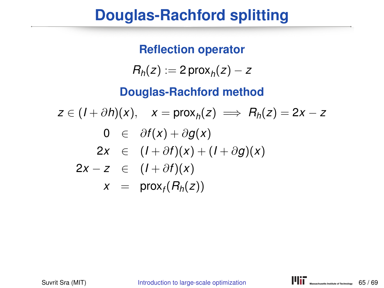**Reflection operator**  $R_h(z) := 2 \text{prox}_h(z) - z$ **Douglas-Rachford method**  $z \in (I + \partial h)(x), \quad x = \text{prox}_h(z) \implies R_h(z) = 2x - z$ 0 ∈  $\partial f(x) + \partial g(x)$  $2x \in (I + \partial f)(x) + (I + \partial g)(x)$  $2x - z \in (1 + \partial f)(x)$  $x = \text{prox}_f(R_h(z))$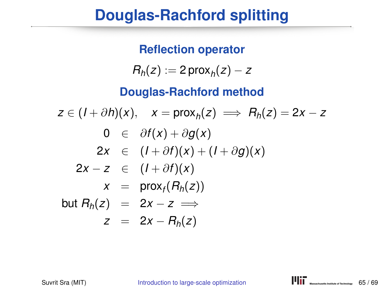**Reflection operator**  $R_h(z) := 2 \text{prox}_h(z) - z$ **Douglas-Rachford method**  $z \in (I + \partial h)(x), \quad x = \text{prox}_h(z) \implies R_h(z) = 2x - z$ 0 ∈  $\partial f(x) + \partial g(x)$  $2x \in (I + \partial f)(x) + (I + \partial g)(x)$  $2x - z \in (1 + \partial f)(x)$  $x = \text{prox}_f(R_h(z))$  $but R_h(z) = 2x - z \implies$  $z = 2x - R_h(z)$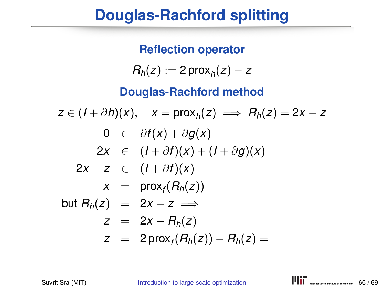**Reflection operator**  $R_h(z) := 2 \text{prox}_h(z) - z$ **Douglas-Rachford method**  $z \in (I + \partial h)(x), \quad x = \text{prox}_h(z) \implies R_h(z) = 2x - z$ 0 ∈ ∂*f*(*x*) + ∂*g*(*x*) 2*x* ∈  $(I + \partial f)(x) + (I + \partial g)(x)$  $2x - z \in (1 + \partial f)(x)$  $x = \text{prox}_f(R_h(z))$  $but R_h(z) = 2x - z \implies$  $z = 2x - R_h(z)$  $z = 2 \text{prox}_f(R_h(z)) - R_h(z) =$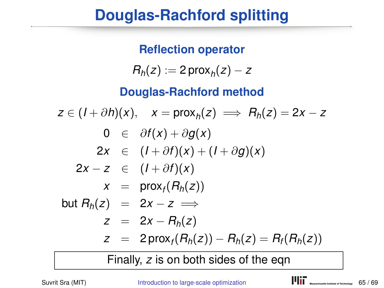**Reflection operator**  $R_h(z) := 2 \text{prox}_h(z) - z$ **Douglas-Rachford method**  $z \in (I + \partial h)(x), \quad x = \text{prox}_h(z) \implies R_h(z) = 2x - z$ 0 ∈ ∂*f*(*x*) + ∂*g*(*x*)  $2x \in (I + \partial f)(x) + (I + \partial g)(x)$  $2x - z \in (1 + \partial f)(x)$  $x = \text{prox}_f(R_h(z))$  $but R_h(z) = 2x - z \implies$  $z = 2x - R_h(z)$  $Z = 2 \text{prox}_f(R_h(z)) - R_h(z) = R_f(R_h(z))$ 

Finally, *z* is on both sides of the eqn

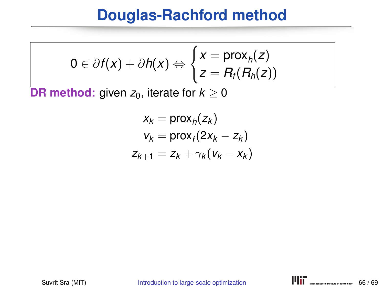$$
0 \in \partial f(x) + \partial h(x) \Leftrightarrow \begin{cases} x = \text{prox}_{h}(z) \\ z = R_{f}(R_{h}(z)) \end{cases}
$$

**DR method:** given  $z_0$ , iterate for  $k \geq 0$ 

$$
x_k = \text{prox}_h(z_k)
$$
  

$$
v_k = \text{prox}_f(2x_k - z_k)
$$
  

$$
z_{k+1} = z_k + \gamma_k (v_k - x_k)
$$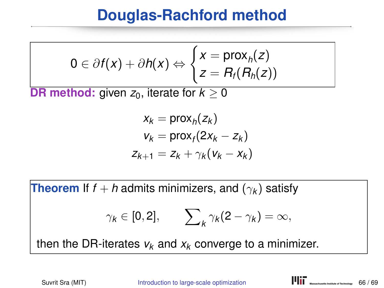$$
0 \in \partial f(x) + \partial h(x) \Leftrightarrow \begin{cases} x = \text{prox}_{h}(z) \\ z = R_{f}(R_{h}(z)) \end{cases}
$$

**DR method:** given  $z_0$ , iterate for  $k > 0$ 

$$
x_k = \text{prox}_h(z_k)
$$
  

$$
v_k = \text{prox}_f(2x_k - z_k)
$$
  

$$
z_{k+1} = z_k + \gamma_k (v_k - x_k)
$$

**Theorem** If  $f + h$  admits minimizers, and  $(\gamma_k)$  satisfy

$$
\gamma_k\in[0,2],\qquad \sum\nolimits_k\gamma_k(2-\gamma_k)=\infty,
$$

then the DR-iterates  $v_k$  and  $x_k$  converge to a minimizer.

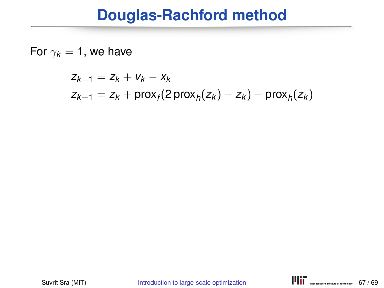For  $\gamma_k = 1$ , we have

$$
z_{k+1} = z_k + v_k - x_k
$$
  

$$
z_{k+1} = z_k + \text{prox}_f(2\operatorname{prox}_h(z_k) - z_k) - \text{prox}_h(z_k)
$$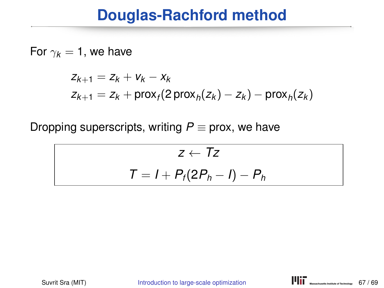#### For  $\gamma_k = 1$ , we have

$$
z_{k+1} = z_k + v_k - x_k
$$
  

$$
z_{k+1} = z_k + \text{prox}_f(2\,\text{prox}_h(z_k) - z_k) - \text{prox}_h(z_k)
$$

Dropping superscripts, writing  $P \equiv$  prox, we have

$$
z \leftarrow Tz
$$

$$
T = I + P_f(2P_h - I) - P_h
$$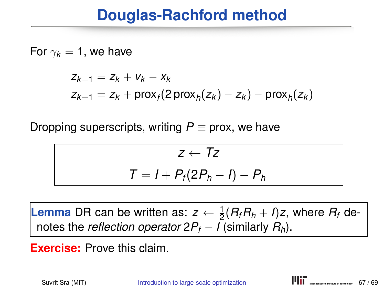#### For  $\gamma_k = 1$ , we have

$$
z_{k+1} = z_k + v_k - x_k
$$
  

$$
z_{k+1} = z_k + \text{prox}_f(2\,\text{prox}_h(z_k) - z_k) - \text{prox}_h(z_k)
$$

Dropping superscripts, writing  $P \equiv$  prox, we have

$$
z \leftarrow Tz
$$

$$
T = I + P_t(2P_h - I) - P_h
$$

**Lemma** DR can be written as:  $z \leftarrow \frac{1}{2}(R_fR_h + I)z$ , where  $R_f$  denotes the *reflection operator*  $2P_f - I$  (similarly  $R_h$ ).

**Exercise:** Prove this claim.